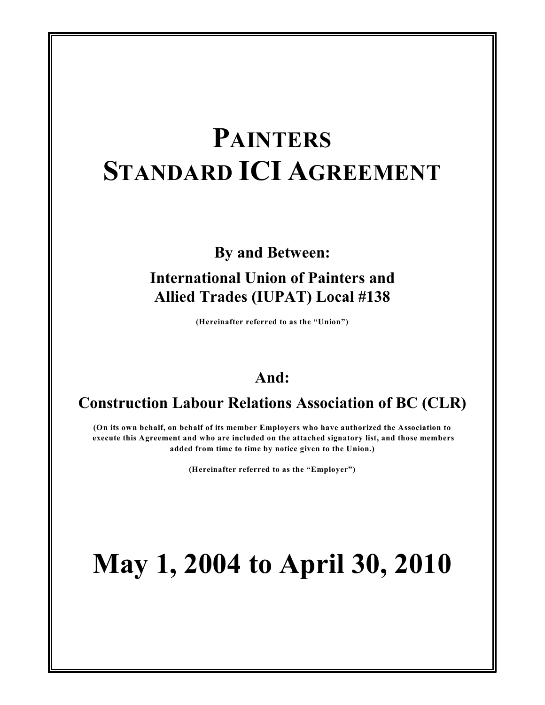# **PAINTERS STANDARD ICI AGREEMENT**

# **By and Between:**

# **International Union of Painters and Allied Trades (IUPAT) Local #138**

**(Hereinafter referred to as the "Union")**

# **And:**

# **Construction Labour Relations Association of BC (CLR)**

**(On its own behalf, on behalf of its member Employers who have authorized the Association to execute this Agreement and who are included on the attached signatory list, and those members added from time to time by notice given to the Union.)**

**(Hereinafter referred to as the "Employer")**

# **May 1, 2004 to April 30, 2010**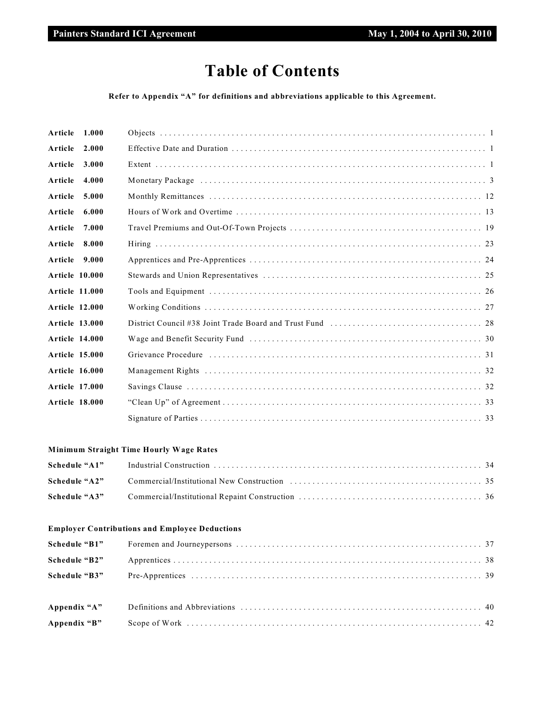# **Table of Contents**

**Refer to Appendix "A" for definitions and abbreviations applicable to this Agreement.**

| Article               | 1.000 |  |
|-----------------------|-------|--|
| Article               | 2.000 |  |
| Article               | 3.000 |  |
| Article               | 4.000 |  |
| Article               | 5.000 |  |
| Article               | 6.000 |  |
| Article               | 7.000 |  |
| Article 8.000         |       |  |
| Article 9.000         |       |  |
| <b>Article 10.000</b> |       |  |
| <b>Article 11.000</b> |       |  |
| <b>Article 12.000</b> |       |  |
| <b>Article 13.000</b> |       |  |
| <b>Article 14.000</b> |       |  |
| <b>Article 15.000</b> |       |  |
| <b>Article 16.000</b> |       |  |
| Article 17.000        |       |  |
| <b>Article 18.000</b> |       |  |
|                       |       |  |

# **Minimum Straight Time Hourly Wage Rates**

| Schedule "A1" |  |
|---------------|--|
|               |  |
| Schedule "A3" |  |

# **Employer Contributions and Employee Deductions**

| Schedule "B2" |  |
|---------------|--|
| Schedule "B3" |  |
|               |  |
|               |  |
| Appendix "B"  |  |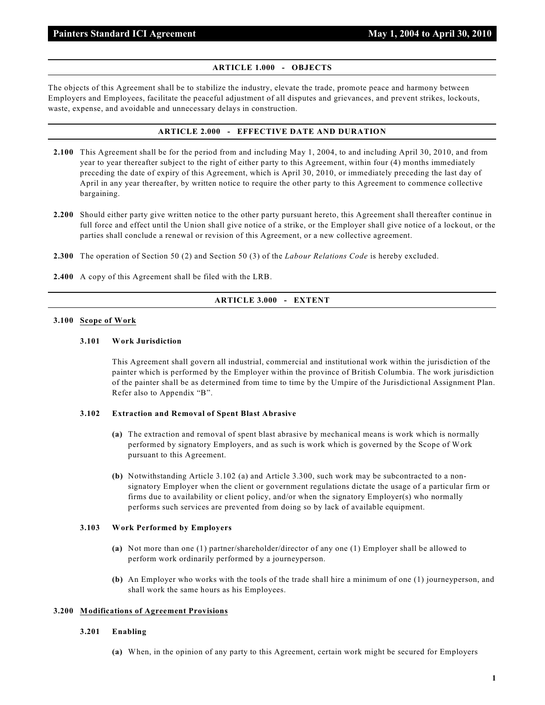# **ARTICLE 1.000 - OBJECTS**

The objects of this Agreement shall be to stabilize the industry, elevate the trade, promote peace and harmony between Employers and Employees, facilitate the peaceful adjustment of all disputes and grievances, and prevent strikes, lockouts, waste, expense, and avoidable and unnecessary delays in construction.

# **ARTICLE 2.000 - EFFECTIVE DATE AND DURATION**

- **2.100** This Agreement shall be for the period from and including May 1, 2004, to and including April 30, 2010, and from year to year thereafter subject to the right of either party to this Agreement, within four (4) months immediately preceding the date of expiry of this Agreement, which is April 30, 2010, or immediately preceding the last day of April in any year thereafter, by written notice to require the other party to this Agreement to commence collective bargaining.
- **2.200** Should either party give written notice to the other party pursuant hereto, this Agreement shall thereafter continue in full force and effect until the Union shall give notice of a strike, or the Employer shall give notice of a lockout, or the parties shall conclude a renewal or revision of this Agreement, or a new collective agreement.
- **2.300** The operation of Section 50 (2) and Section 50 (3) of the *Labour Relations Code* is hereby excluded.
- **2.400** A copy of this Agreement shall be filed with the LRB.

### **ARTICLE 3.000 - EXTENT**

#### **3.100 Scope of Work**

# **3.101 Work Jurisdiction**

This Agreement shall govern all industrial, commercial and institutional work within the jurisdiction of the painter which is performed by the Employer within the province of British Columbia. The work jurisdiction of the painter shall be as determined from time to time by the Umpire of the Jurisdictional Assignment Plan. Refer also to Appendix "B".

#### **3.102 Extraction and Removal of Spent Blast Abrasive**

- **(a)** The extraction and removal of spent blast abrasive by mechanical means is work which is normally performed by signatory Employers, and as such is work which is governed by the Scope of Work pursuant to this Agreement.
- **(b)** Notwithstanding Article 3.102 (a) and Article 3.300, such work may be subcontracted to a nonsignatory Employer when the client or government regulations dictate the usage of a particular firm or firms due to availability or client policy, and/or when the signatory Employer(s) who normally performs such services are prevented from doing so by lack of available equipment.

#### **3.103 Work Performed by Employers**

- **(a)** Not more than one (1) partner/shareholder/director of any one (1) Employer shall be allowed to perform work ordinarily performed by a journeyperson.
- **(b)** An Employer who works with the tools of the trade shall hire a minimum of one (1) journeyperson, and shall work the same hours as his Employees.

# **3.200 Modifications of Agreement Provisions**

#### **3.201 Enabling**

**(a)** When, in the opinion of any party to this Agreement, certain work might be secured for Employers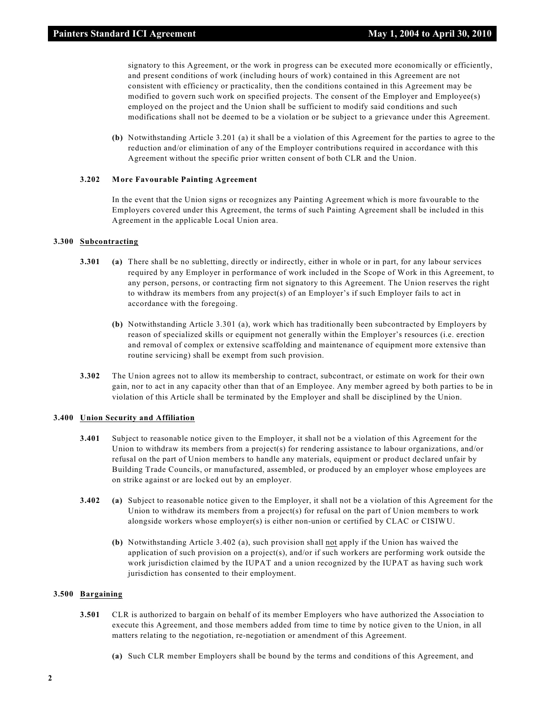signatory to this Agreement, or the work in progress can be executed more economically or efficiently, and present conditions of work (including hours of work) contained in this Agreement are not consistent with efficiency or practicality, then the conditions contained in this Agreement may be modified to govern such work on specified projects. The consent of the Employer and Employee(s) employed on the project and the Union shall be sufficient to modify said conditions and such modifications shall not be deemed to be a violation or be subject to a grievance under this Agreement.

**(b)** Notwithstanding Article 3.201 (a) it shall be a violation of this Agreement for the parties to agree to the reduction and/or elimination of any of the Employer contributions required in accordance with this Agreement without the specific prior written consent of both CLR and the Union.

#### **3.202 More Favourable Painting Agreement**

In the event that the Union signs or recognizes any Painting Agreement which is more favourable to the Employers covered under this Agreement, the terms of such Painting Agreement shall be included in this Agreement in the applicable Local Union area.

#### **3.300 Subcontracting**

- **3.301 (a)** There shall be no subletting, directly or indirectly, either in whole or in part, for any labour services required by any Employer in performance of work included in the Scope of Work in this Agreement, to any person, persons, or contracting firm not signatory to this Agreement. The Union reserves the right to withdraw its members from any project(s) of an Employer's if such Employer fails to act in accordance with the foregoing.
	- **(b)** Notwithstanding Article 3.301 (a), work which has traditionally been subcontracted by Employers by reason of specialized skills or equipment not generally within the Employer's resources (i.e. erection and removal of complex or extensive scaffolding and maintenance of equipment more extensive than routine servicing) shall be exempt from such provision.
- **3.302** The Union agrees not to allow its membership to contract, subcontract, or estimate on work for their own gain, nor to act in any capacity other than that of an Employee. Any member agreed by both parties to be in violation of this Article shall be terminated by the Employer and shall be disciplined by the Union.

#### **3.400 Union Security and Affiliation**

- **3.401** Subject to reasonable notice given to the Employer, it shall not be a violation of this Agreement for the Union to withdraw its members from a project(s) for rendering assistance to labour organizations, and/or refusal on the part of Union members to handle any materials, equipment or product declared unfair by Building Trade Councils, or manufactured, assembled, or produced by an employer whose employees are on strike against or are locked out by an employer.
- **3.402 (a)** Subject to reasonable notice given to the Employer, it shall not be a violation of this Agreement for the Union to withdraw its members from a project(s) for refusal on the part of Union members to work alongside workers whose employer(s) is either non-union or certified by CLAC or CISIWU.
	- **(b)** Notwithstanding Article 3.402 (a), such provision shall not apply if the Union has waived the application of such provision on a project(s), and/or if such workers are performing work outside the work jurisdiction claimed by the IUPAT and a union recognized by the IUPAT as having such work jurisdiction has consented to their employment.

#### **3.500 Bargaining**

- **3.501** CLR is authorized to bargain on behalf of its member Employers who have authorized the Association to execute this Agreement, and those members added from time to time by notice given to the Union, in all matters relating to the negotiation, re-negotiation or amendment of this Agreement.
	- **(a)** Such CLR member Employers shall be bound by the terms and conditions of this Agreement, and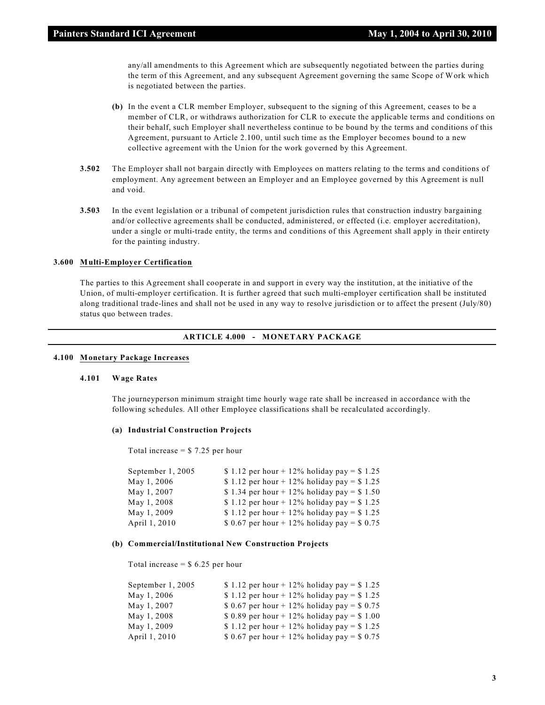any/all amendments to this Agreement which are subsequently negotiated between the parties during the term of this Agreement, and any subsequent Agreement governing the same Scope of Work which is negotiated between the parties.

- **(b)** In the event a CLR member Employer, subsequent to the signing of this Agreement, ceases to be a member of CLR, or withdraws authorization for CLR to execute the applicable terms and conditions on their behalf, such Employer shall nevertheless continue to be bound by the terms and conditions of this Agreement, pursuant to Article 2.100, until such time as the Employer becomes bound to a new collective agreement with the Union for the work governed by this Agreement.
- **3.502** The Employer shall not bargain directly with Employees on matters relating to the terms and conditions of employment. Any agreement between an Employer and an Employee governed by this Agreement is null and void.
- **3.503** In the event legislation or a tribunal of competent jurisdiction rules that construction industry bargaining and/or collective agreements shall be conducted, administered, or effected (i.e. employer accreditation), under a single or multi-trade entity, the terms and conditions of this Agreement shall apply in their entirety for the painting industry.

#### **3.600 Multi-Employer Certification**

The parties to this Agreement shall cooperate in and support in every way the institution, at the initiative of the Union, of multi-employer certification. It is further agreed that such multi-employer certification shall be instituted along traditional trade-lines and shall not be used in any way to resolve jurisdiction or to affect the present (July/80) status quo between trades.

#### **ARTICLE 4.000 - MONETARY PACKAGE**

# **4.100 Monetary Package Increases**

#### **4.101 Wage Rates**

The journeyperson minimum straight time hourly wage rate shall be increased in accordance with the following schedules. All other Employee classifications shall be recalculated accordingly.

#### **(a) Industrial Construction Projects**

Total increase  $= $ 7.25$  per hour

| September 1, 2005 | \$ 1.12 per hour + 12% holiday pay = \$ 1.25 |
|-------------------|----------------------------------------------|
| May 1, 2006       | \$1.12 per hour + 12% holiday pay = \$1.25   |
| May 1, 2007       | \$1.34 per hour + 12% holiday pay = \$1.50   |
| May 1, 2008       | \$ 1.12 per hour + 12% holiday pay = \$ 1.25 |
| May 1, 2009       | \$ 1.12 per hour + 12% holiday pay = \$ 1.25 |
| April 1, 2010     | \$ 0.67 per hour + 12% holiday pay = $$0.75$ |

#### **(b) Commercial/Institutional New Construction Projects**

Total increase  $=$  \$ 6.25 per hour

| September 1, 2005 | \$ 1.12 per hour + 12% holiday pay = \$ 1.25 |
|-------------------|----------------------------------------------|
| May 1, 2006       | \$1.12 per hour + 12% holiday pay = \$1.25   |
| May 1, 2007       | \$ 0.67 per hour + 12% holiday pay = \$ 0.75 |
| May 1, 2008       | \$ 0.89 per hour + 12% holiday pay = \$ 1.00 |
| May 1, 2009       | \$ 1.12 per hour + 12% holiday pay = \$ 1.25 |
| April 1, 2010     | \$ 0.67 per hour + 12% holiday pay = $$0.75$ |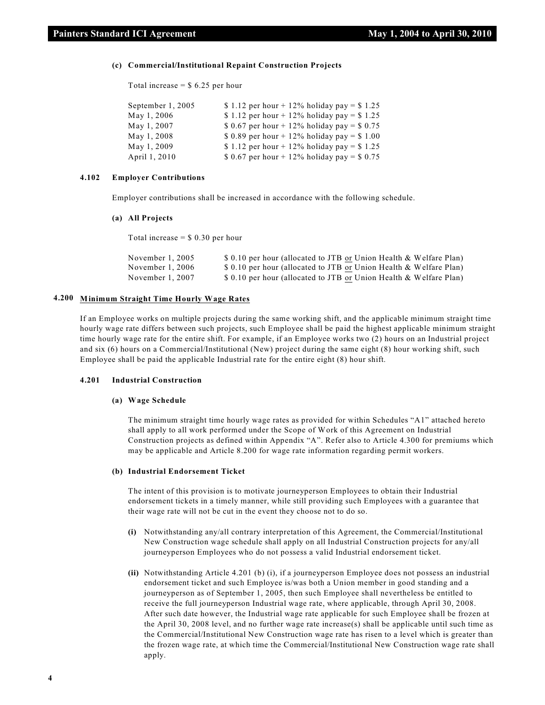#### **(c) Commercial/Institutional Repaint Construction Projects**

Total increase  $=$  \$ 6.25 per hour

| September 1, 2005 | \$ 1.12 per hour + 12% holiday pay = \$ 1.25 |
|-------------------|----------------------------------------------|
| May 1, 2006       | \$1.12 per hour + 12% holiday pay = \$1.25   |
| May 1, 2007       | \$ 0.67 per hour + 12% holiday pay = \$ 0.75 |
| May 1, 2008       | \$ 0.89 per hour + 12% holiday pay = \$ 1.00 |
| May 1, 2009       | \$1.12 per hour + 12% holiday pay = \$1.25   |
| April 1, 2010     | \$ 0.67 per hour + 12% holiday pay = \$ 0.75 |

#### **4.102 Employer Contributions**

Employer contributions shall be increased in accordance with the following schedule.

# **(a) All Projects**

Total increase  $=$  \$ 0.30 per hour

| November $1, 2005$ | \$ 0.10 per hour (allocated to JTB or Union Health & Welfare Plan) |
|--------------------|--------------------------------------------------------------------|
| November $1, 2006$ | \$ 0.10 per hour (allocated to JTB or Union Health & Welfare Plan) |
| November 1, 2007   | \$ 0.10 per hour (allocated to JTB or Union Health & Welfare Plan) |

# **4.200 Minimum Straight Time Hourly Wage Rates**

If an Employee works on multiple projects during the same working shift, and the applicable minimum straight time hourly wage rate differs between such projects, such Employee shall be paid the highest applicable minimum straight time hourly wage rate for the entire shift. For example, if an Employee works two (2) hours on an Industrial project and six (6) hours on a Commercial/Institutional (New) project during the same eight (8) hour working shift, such Employee shall be paid the applicable Industrial rate for the entire eight (8) hour shift.

#### **4.201 Industrial Construction**

#### **(a) Wage Schedule**

The minimum straight time hourly wage rates as provided for within Schedules "A1" attached hereto shall apply to all work performed under the Scope of Work of this Agreement on Industrial Construction projects as defined within Appendix "A". Refer also to Article 4.300 for premiums which may be applicable and Article 8.200 for wage rate information regarding permit workers.

#### **(b) Industrial Endorsement Ticket**

The intent of this provision is to motivate journeyperson Employees to obtain their Industrial endorsement tickets in a timely manner, while still providing such Employees with a guarantee that their wage rate will not be cut in the event they choose not to do so.

- **(i)** Notwithstanding any/all contrary interpretation of this Agreement, the Commercial/Institutional New Construction wage schedule shall apply on all Industrial Construction projects for any/all journeyperson Employees who do not possess a valid Industrial endorsement ticket.
- **(ii)** Notwithstanding Article 4.201 (b) (i), if a journeyperson Employee does not possess an industrial endorsement ticket and such Employee is/was both a Union member in good standing and a journeyperson as of September 1, 2005, then such Employee shall nevertheless be entitled to receive the full journeyperson Industrial wage rate, where applicable, through April 30, 2008. After such date however, the Industrial wage rate applicable for such Employee shall be frozen at the April 30, 2008 level, and no further wage rate increase(s) shall be applicable until such time as the Commercial/Institutional New Construction wage rate has risen to a level which is greater than the frozen wage rate, at which time the Commercial/Institutional New Construction wage rate shall apply.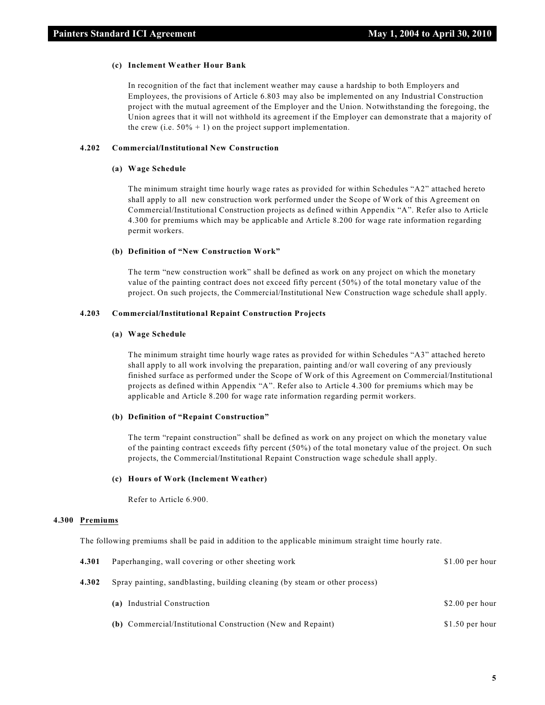#### **(c) Inclement Weather Hour Bank**

In recognition of the fact that inclement weather may cause a hardship to both Employers and Employees, the provisions of Article 6.803 may also be implemented on any Industrial Construction project with the mutual agreement of the Employer and the Union. Notwithstanding the foregoing, the Union agrees that it will not withhold its agreement if the Employer can demonstrate that a majority of the crew (i.e.  $50\% + 1$ ) on the project support implementation.

# **4.202 Commercial/Institutional New Construction**

#### **(a) Wage Schedule**

The minimum straight time hourly wage rates as provided for within Schedules "A2" attached hereto shall apply to all new construction work performed under the Scope of Work of this Agreement on Commercial/Institutional Construction projects as defined within Appendix "A". Refer also to Article 4.300 for premiums which may be applicable and Article 8.200 for wage rate information regarding permit workers.

#### **(b) Definition of "New Construction Work"**

The term "new construction work" shall be defined as work on any project on which the monetary value of the painting contract does not exceed fifty percent (50%) of the total monetary value of the project. On such projects, the Commercial/Institutional New Construction wage schedule shall apply.

# **4.203 Commercial/Institutional Repaint Construction Projects**

#### **(a) Wage Schedule**

The minimum straight time hourly wage rates as provided for within Schedules "A3" attached hereto shall apply to all work involving the preparation, painting and/or wall covering of any previously finished surface as performed under the Scope of Work of this Agreement on Commercial/Institutional projects as defined within Appendix "A". Refer also to Article 4.300 for premiums which may be applicable and Article 8.200 for wage rate information regarding permit workers.

#### **(b) Definition of "Repaint Construction"**

The term "repaint construction" shall be defined as work on any project on which the monetary value of the painting contract exceeds fifty percent (50%) of the total monetary value of the project. On such projects, the Commercial/Institutional Repaint Construction wage schedule shall apply.

#### **(c) Hours of Work (Inclement Weather)**

Refer to Article 6.900.

#### **4.300 Premiums**

The following premiums shall be paid in addition to the applicable minimum straight time hourly rate.

| 4.301 | Paperhanging, wall covering or other sheeting work                          | $$1.00$ per hour |
|-------|-----------------------------------------------------------------------------|------------------|
| 4.302 | Spray painting, sandblasting, building cleaning (by steam or other process) |                  |
|       | (a) Industrial Construction                                                 | \$2.00 per hour  |
|       | <b>(b)</b> Commercial/Institutional Construction (New and Repaint)          | $$1.50$ per hour |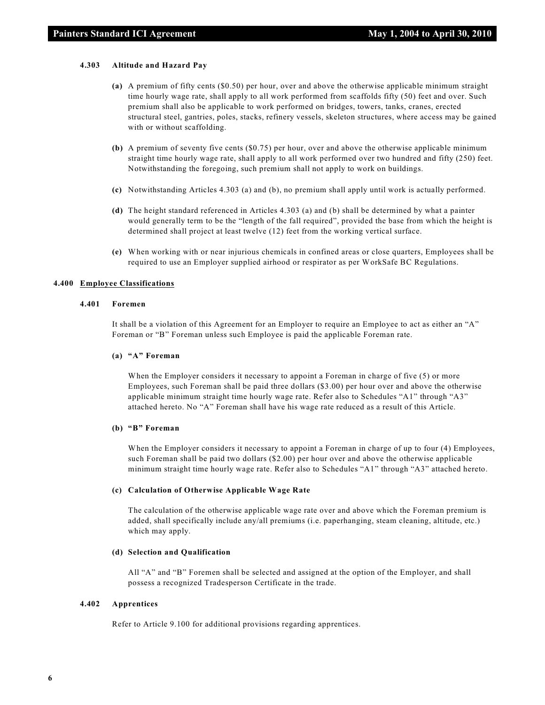#### **4.303 Altitude and Hazard Pay**

- **(a)** A premium of fifty cents (\$0.50) per hour, over and above the otherwise applicable minimum straight time hourly wage rate, shall apply to all work performed from scaffolds fifty (50) feet and over. Such premium shall also be applicable to work performed on bridges, towers, tanks, cranes, erected structural steel, gantries, poles, stacks, refinery vessels, skeleton structures, where access may be gained with or without scaffolding.
- **(b)** A premium of seventy five cents (\$0.75) per hour, over and above the otherwise applicable minimum straight time hourly wage rate, shall apply to all work performed over two hundred and fifty (250) feet. Notwithstanding the foregoing, such premium shall not apply to work on buildings.
- **(c)** Notwithstanding Articles 4.303 (a) and (b), no premium shall apply until work is actually performed.
- **(d)** The height standard referenced in Articles 4.303 (a) and (b) shall be determined by what a painter would generally term to be the "length of the fall required", provided the base from which the height is determined shall project at least twelve (12) feet from the working vertical surface.
- **(e)** When working with or near injurious chemicals in confined areas or close quarters, Employees shall be required to use an Employer supplied airhood or respirator as per WorkSafe BC Regulations.

#### **4.400 Employee Classifications**

#### **4.401 Foremen**

It shall be a violation of this Agreement for an Employer to require an Employee to act as either an "A" Foreman or "B" Foreman unless such Employee is paid the applicable Foreman rate.

#### **(a) "A" Foreman**

When the Employer considers it necessary to appoint a Foreman in charge of five (5) or more Employees, such Foreman shall be paid three dollars (\$3.00) per hour over and above the otherwise applicable minimum straight time hourly wage rate. Refer also to Schedules "A1" through "A3" attached hereto. No "A" Foreman shall have his wage rate reduced as a result of this Article.

#### **(b) "B" Foreman**

When the Employer considers it necessary to appoint a Foreman in charge of up to four (4) Employees, such Foreman shall be paid two dollars (\$2.00) per hour over and above the otherwise applicable minimum straight time hourly wage rate. Refer also to Schedules "A1" through "A3" attached hereto.

#### **(c) Calculation of Otherwise Applicable Wage Rate**

The calculation of the otherwise applicable wage rate over and above which the Foreman premium is added, shall specifically include any/all premiums (i.e. paperhanging, steam cleaning, altitude, etc.) which may apply.

# **(d) Selection and Qualification**

All "A" and "B" Foremen shall be selected and assigned at the option of the Employer, and shall possess a recognized Tradesperson Certificate in the trade.

#### **4.402 Apprentices**

Refer to Article 9.100 for additional provisions regarding apprentices.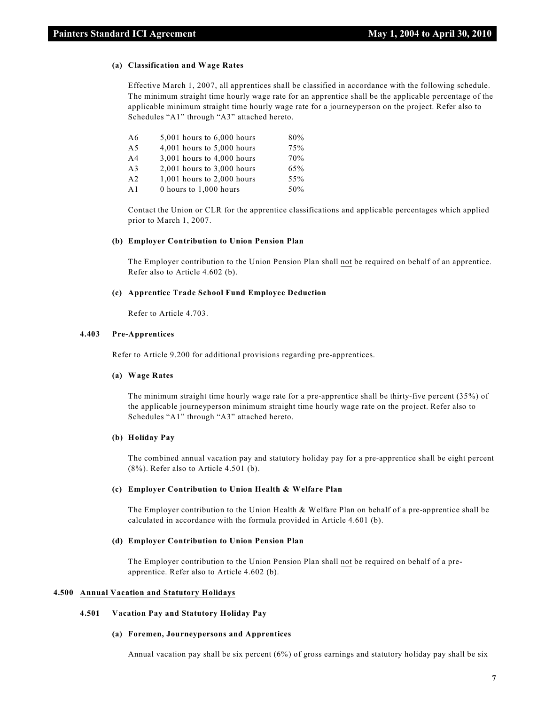#### **(a) Classification and Wage Rates**

Effective March 1, 2007, all apprentices shall be classified in accordance with the following schedule. The minimum straight time hourly wage rate for an apprentice shall be the applicable percentage of the applicable minimum straight time hourly wage rate for a journeyperson on the project. Refer also to Schedules "A1" through "A3" attached hereto.

| A6              | $5,001$ hours to $6,000$ hours | 80% |
|-----------------|--------------------------------|-----|
| A <sub>5</sub>  | 4,001 hours to 5,000 hours     | 75% |
| AA              | 3,001 hours to 4,000 hours     | 70% |
| A <sub>3</sub>  | $2,001$ hours to $3,000$ hours | 65% |
| A <sub>2</sub>  | $1,001$ hours to $2,000$ hours | 55% |
| $\overline{A}1$ | 0 hours to 1,000 hours         | 50% |
|                 |                                |     |

Contact the Union or CLR for the apprentice classifications and applicable percentages which applied prior to March 1, 2007.

#### **(b) Employer Contribution to Union Pension Plan**

The Employer contribution to the Union Pension Plan shall not be required on behalf of an apprentice. Refer also to Article 4.602 (b).

#### **(c) Apprentice Trade School Fund Employee Deduction**

Refer to Article 4.703.

# **4.403 Pre-Apprentices**

Refer to Article 9.200 for additional provisions regarding pre-apprentices.

# **(a) Wage Rates**

The minimum straight time hourly wage rate for a pre-apprentice shall be thirty-five percent (35%) of the applicable journeyperson minimum straight time hourly wage rate on the project. Refer also to Schedules "A1" through "A3" attached hereto.

#### **(b) Holiday Pay**

The combined annual vacation pay and statutory holiday pay for a pre-apprentice shall be eight percent (8%). Refer also to Article 4.501 (b).

#### **(c) Employer Contribution to Union Health & Welfare Plan**

The Employer contribution to the Union Health & Welfare Plan on behalf of a pre-apprentice shall be calculated in accordance with the formula provided in Article 4.601 (b).

#### **(d) Employer Contribution to Union Pension Plan**

The Employer contribution to the Union Pension Plan shall not be required on behalf of a preapprentice. Refer also to Article 4.602 (b).

# **4.500 Annual Vacation and Statutory Holidays**

# **4.501 Vacation Pay and Statutory Holiday Pay**

#### **(a) Foremen, Journeypersons and Apprentices**

Annual vacation pay shall be six percent (6%) of gross earnings and statutory holiday pay shall be six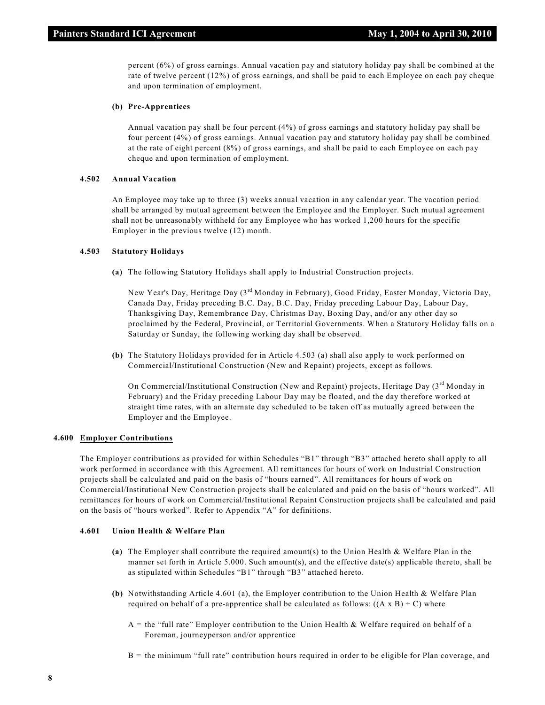percent (6%) of gross earnings. Annual vacation pay and statutory holiday pay shall be combined at the rate of twelve percent (12%) of gross earnings, and shall be paid to each Employee on each pay cheque and upon termination of employment.

#### **(b) Pre-Apprentices**

Annual vacation pay shall be four percent (4%) of gross earnings and statutory holiday pay shall be four percent (4%) of gross earnings. Annual vacation pay and statutory holiday pay shall be combined at the rate of eight percent (8%) of gross earnings, and shall be paid to each Employee on each pay cheque and upon termination of employment.

## **4.502 Annual Vacation**

An Employee may take up to three (3) weeks annual vacation in any calendar year. The vacation period shall be arranged by mutual agreement between the Employee and the Employer. Such mutual agreement shall not be unreasonably withheld for any Employee who has worked 1,200 hours for the specific Employer in the previous twelve (12) month.

#### **4.503 Statutory Holidays**

**(a)** The following Statutory Holidays shall apply to Industrial Construction projects.

New Year's Day, Heritage Day (3<sup>rd</sup> Monday in February), Good Friday, Easter Monday, Victoria Day, Canada Day, Friday preceding B.C. Day, B.C. Day, Friday preceding Labour Day, Labour Day, Thanksgiving Day, Remembrance Day, Christmas Day, Boxing Day, and/or any other day so proclaimed by the Federal, Provincial, or Territorial Governments. When a Statutory Holiday falls on a Saturday or Sunday, the following working day shall be observed.

**(b)** The Statutory Holidays provided for in Article 4.503 (a) shall also apply to work performed on Commercial/Institutional Construction (New and Repaint) projects, except as follows.

On Commercial/Institutional Construction (New and Repaint) projects, Heritage Day  $(3<sup>rd</sup>$  Monday in February) and the Friday preceding Labour Day may be floated, and the day therefore worked at straight time rates, with an alternate day scheduled to be taken off as mutually agreed between the Employer and the Employee.

#### **4.600 Employer Contributions**

The Employer contributions as provided for within Schedules "B1" through "B3" attached hereto shall apply to all work performed in accordance with this Agreement. All remittances for hours of work on Industrial Construction projects shall be calculated and paid on the basis of "hours earned". All remittances for hours of work on Commercial/Institutional New Construction projects shall be calculated and paid on the basis of "hours worked". All remittances for hours of work on Commercial/Institutional Repaint Construction projects shall be calculated and paid on the basis of "hours worked". Refer to Appendix "A" for definitions.

#### **4.601 Union Health & Welfare Plan**

- **(a)** The Employer shall contribute the required amount(s) to the Union Health & Welfare Plan in the manner set forth in Article 5.000. Such amount(s), and the effective date(s) applicable thereto, shall be as stipulated within Schedules "B1" through "B3" attached hereto.
- **(b)** Notwithstanding Article 4.601 (a), the Employer contribution to the Union Health & Welfare Plan required on behalf of a pre-apprentice shall be calculated as follows: ((A x B)  $\div$  C) where
	- $A =$  the "full rate" Employer contribution to the Union Health & Welfare required on behalf of a Foreman, journeyperson and/or apprentice
	- B = the minimum "full rate" contribution hours required in order to be eligible for Plan coverage, and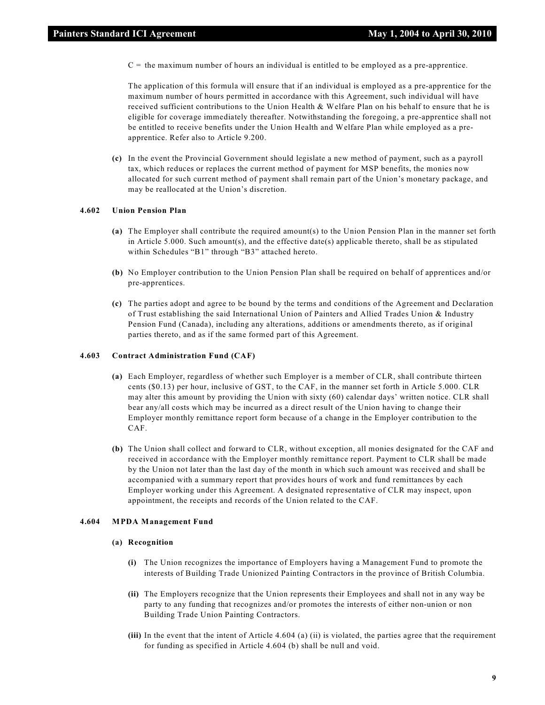$C =$  the maximum number of hours an individual is entitled to be employed as a pre-apprentice.

The application of this formula will ensure that if an individual is employed as a pre-apprentice for the maximum number of hours permitted in accordance with this Agreement, such individual will have received sufficient contributions to the Union Health & Welfare Plan on his behalf to ensure that he is eligible for coverage immediately thereafter. Notwithstanding the foregoing, a pre-apprentice shall not be entitled to receive benefits under the Union Health and Welfare Plan while employed as a preapprentice. Refer also to Article 9.200.

**(c)** In the event the Provincial Government should legislate a new method of payment, such as a payroll tax, which reduces or replaces the current method of payment for MSP benefits, the monies now allocated for such current method of payment shall remain part of the Union's monetary package, and may be reallocated at the Union's discretion.

# **4.602 Union Pension Plan**

- **(a)** The Employer shall contribute the required amount(s) to the Union Pension Plan in the manner set forth in Article 5.000. Such amount(s), and the effective date(s) applicable thereto, shall be as stipulated within Schedules "B1" through "B3" attached hereto.
- **(b)** No Employer contribution to the Union Pension Plan shall be required on behalf of apprentices and/or pre-apprentices.
- **(c)** The parties adopt and agree to be bound by the terms and conditions of the Agreement and Declaration of Trust establishing the said International Union of Painters and Allied Trades Union & Industry Pension Fund (Canada), including any alterations, additions or amendments thereto, as if original parties thereto, and as if the same formed part of this Agreement.

#### **4.603 Contract Administration Fund (CAF)**

- **(a)** Each Employer, regardless of whether such Employer is a member of CLR, shall contribute thirteen cents (\$0.13) per hour, inclusive of GST, to the CAF, in the manner set forth in Article 5.000. CLR may alter this amount by providing the Union with sixty (60) calendar days' written notice. CLR shall bear any/all costs which may be incurred as a direct result of the Union having to change their Employer monthly remittance report form because of a change in the Employer contribution to the CAF.
- **(b)** The Union shall collect and forward to CLR, without exception, all monies designated for the CAF and received in accordance with the Employer monthly remittance report. Payment to CLR shall be made by the Union not later than the last day of the month in which such amount was received and shall be accompanied with a summary report that provides hours of work and fund remittances by each Employer working under this Agreement. A designated representative of CLR may inspect, upon appointment, the receipts and records of the Union related to the CAF.

#### **4.604 MPDA Management Fund**

#### **(a) Recognition**

- **(i)** The Union recognizes the importance of Employers having a Management Fund to promote the interests of Building Trade Unionized Painting Contractors in the province of British Columbia.
- **(ii)** The Employers recognize that the Union represents their Employees and shall not in any way be party to any funding that recognizes and/or promotes the interests of either non-union or non Building Trade Union Painting Contractors.
- **(iii)** In the event that the intent of Article 4.604 (a) (ii) is violated, the parties agree that the requirement for funding as specified in Article 4.604 (b) shall be null and void.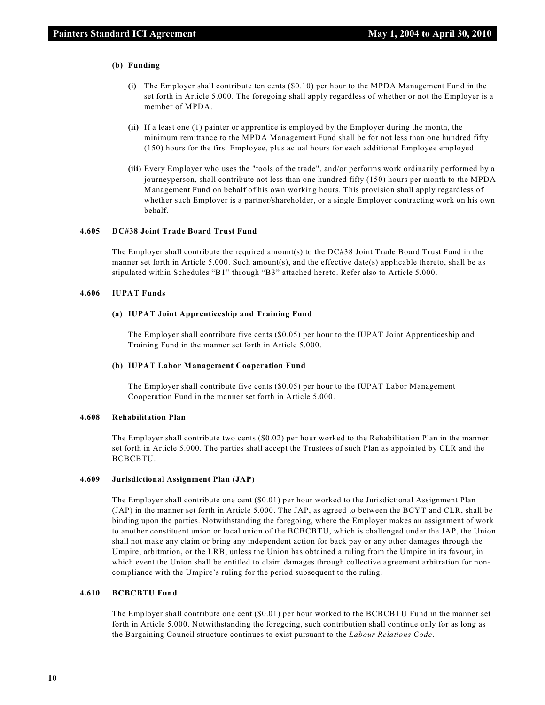#### **(b) Funding**

- **(i)** The Employer shall contribute ten cents (\$0.10) per hour to the MPDA Management Fund in the set forth in Article 5.000. The foregoing shall apply regardless of whether or not the Employer is a member of MPDA.
- **(ii)** If a least one (1) painter or apprentice is employed by the Employer during the month, the minimum remittance to the MPDA Management Fund shall be for not less than one hundred fifty (150) hours for the first Employee, plus actual hours for each additional Employee employed.
- **(iii)** Every Employer who uses the "tools of the trade", and/or performs work ordinarily performed by a journeyperson, shall contribute not less than one hundred fifty (150) hours per month to the MPDA Management Fund on behalf of his own working hours. This provision shall apply regardless of whether such Employer is a partner/shareholder, or a single Employer contracting work on his own behalf.

# **4.605 DC#38 Joint Trade Board Trust Fund**

The Employer shall contribute the required amount(s) to the DC#38 Joint Trade Board Trust Fund in the manner set forth in Article 5.000. Such amount(s), and the effective date(s) applicable thereto, shall be as stipulated within Schedules "B1" through "B3" attached hereto. Refer also to Article 5.000.

#### **4.606 IUPAT Funds**

#### **(a) IUPAT Joint Apprenticeship and Training Fund**

The Employer shall contribute five cents (\$0.05) per hour to the IUPAT Joint Apprenticeship and Training Fund in the manner set forth in Article 5.000.

#### **(b) IUPAT Labor Management Cooperation Fund**

The Employer shall contribute five cents (\$0.05) per hour to the IUPAT Labor Management Cooperation Fund in the manner set forth in Article 5.000.

# **4.608 Rehabilitation Plan**

The Employer shall contribute two cents (\$0.02) per hour worked to the Rehabilitation Plan in the manner set forth in Article 5.000. The parties shall accept the Trustees of such Plan as appointed by CLR and the BCBCBTU.

# **4.609 Jurisdictional Assignment Plan (JAP)**

The Employer shall contribute one cent (\$0.01) per hour worked to the Jurisdictional Assignment Plan (JAP) in the manner set forth in Article 5.000. The JAP, as agreed to between the BCYT and CLR, shall be binding upon the parties. Notwithstanding the foregoing, where the Employer makes an assignment of work to another constituent union or local union of the BCBCBTU, which is challenged under the JAP, the Union shall not make any claim or bring any independent action for back pay or any other damages through the Umpire, arbitration, or the LRB, unless the Union has obtained a ruling from the Umpire in its favour, in which event the Union shall be entitled to claim damages through collective agreement arbitration for noncompliance with the Umpire's ruling for the period subsequent to the ruling.

# **4.610 BCBCBTU Fund**

The Employer shall contribute one cent (\$0.01) per hour worked to the BCBCBTU Fund in the manner set forth in Article 5.000. Notwithstanding the foregoing, such contribution shall continue only for as long as the Bargaining Council structure continues to exist pursuant to the *Labour Relations Code*.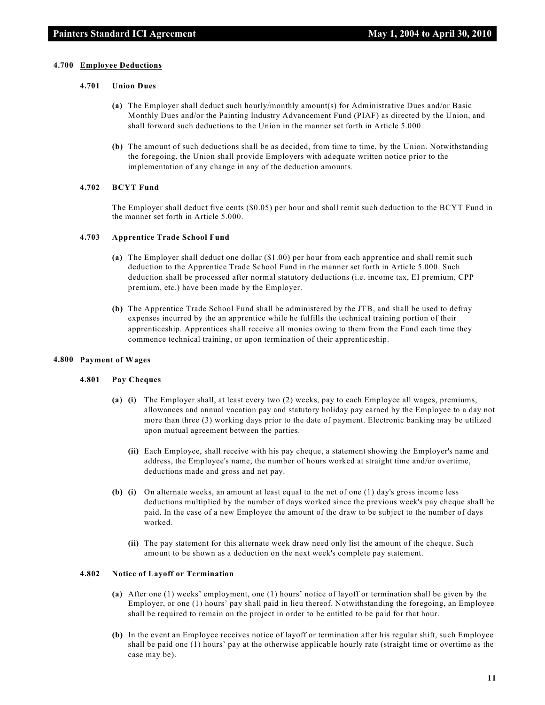#### **4.700 Employee Deductions**

# **4.701 Union Dues**

- **(a)** The Employer shall deduct such hourly/monthly amount(s) for Administrative Dues and/or Basic Monthly Dues and/or the Painting Industry Advancement Fund (PIAF) as directed by the Union, and shall forward such deductions to the Union in the manner set forth in Article 5.000.
- **(b)** The amount of such deductions shall be as decided, from time to time, by the Union. Notwithstanding the foregoing, the Union shall provide Employers with adequate written notice prior to the implementation of any change in any of the deduction amounts.

#### **4.702 BCYT Fund**

The Employer shall deduct five cents (\$0.05) per hour and shall remit such deduction to the BCYT Fund in the manner set forth in Article 5.000.

#### **4.703 Apprentice Trade School Fund**

- **(a)** The Employer shall deduct one dollar (\$1.00) per hour from each apprentice and shall remit such deduction to the Apprentice Trade School Fund in the manner set forth in Article 5.000. Such deduction shall be processed after normal statutory deductions (i.e. income tax, EI premium, CPP premium, etc.) have been made by the Employer.
- **(b)** The Apprentice Trade School Fund shall be administered by the JTB, and shall be used to defray expenses incurred by the an apprentice while he fulfills the technical training portion of their apprenticeship. Apprentices shall receive all monies owing to them from the Fund each time they commence technical training, or upon termination of their apprenticeship.

# **4.800 Payment of Wages**

#### **4.801 Pay Cheques**

- **(a) (i)** The Employer shall, at least every two (2) weeks, pay to each Employee all wages, premiums, allowances and annual vacation pay and statutory holiday pay earned by the Employee to a day not more than three (3) working days prior to the date of payment. Electronic banking may be utilized upon mutual agreement between the parties.
	- **(ii)** Each Employee, shall receive with his pay cheque, a statement showing the Employer's name and address, the Employee's name, the number of hours worked at straight time and/or overtime, deductions made and gross and net pay.
- **(b) (i)** On alternate weeks, an amount at least equal to the net of one (1) day's gross income less deductions multiplied by the number of days worked since the previous week's pay cheque shall be paid. In the case of a new Employee the amount of the draw to be subject to the number of days worked.
	- **(ii)** The pay statement for this alternate week draw need only list the amount of the cheque. Such amount to be shown as a deduction on the next week's complete pay statement.

# **4.802 Notice of Layoff or Termination**

- **(a)** After one (1) weeks' employment, one (1) hours' notice of layoff or termination shall be given by the Employer, or one (1) hours' pay shall paid in lieu thereof. Notwithstanding the foregoing, an Employee shall be required to remain on the project in order to be entitled to be paid for that hour.
- **(b)** In the event an Employee receives notice of layoff or termination after his regular shift, such Employee shall be paid one (1) hours' pay at the otherwise applicable hourly rate (straight time or overtime as the case may be).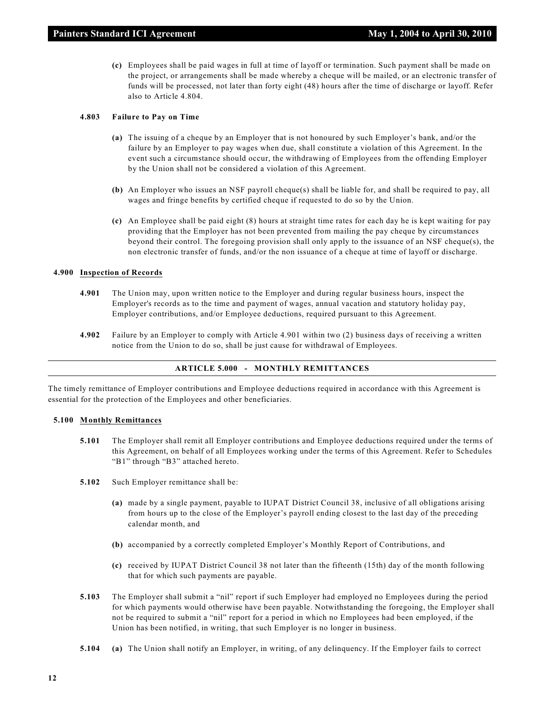**(c)** Employees shall be paid wages in full at time of layoff or termination. Such payment shall be made on the project, or arrangements shall be made whereby a cheque will be mailed, or an electronic transfer of funds will be processed, not later than forty eight (48) hours after the time of discharge or layoff. Refer also to Article 4.804.

# **4.803 Failure to Pay on Time**

- **(a)** The issuing of a cheque by an Employer that is not honoured by such Employer's bank, and/or the failure by an Employer to pay wages when due, shall constitute a violation of this Agreement. In the event such a circumstance should occur, the withdrawing of Employees from the offending Employer by the Union shall not be considered a violation of this Agreement.
- **(b)** An Employer who issues an NSF payroll cheque(s) shall be liable for, and shall be required to pay, all wages and fringe benefits by certified cheque if requested to do so by the Union.
- **(c)** An Employee shall be paid eight (8) hours at straight time rates for each day he is kept waiting for pay providing that the Employer has not been prevented from mailing the pay cheque by circumstances beyond their control. The foregoing provision shall only apply to the issuance of an NSF cheque(s), the non electronic transfer of funds, and/or the non issuance of a cheque at time of layoff or discharge.

#### **4.900 Inspection of Records**

- **4.901** The Union may, upon written notice to the Employer and during regular business hours, inspect the Employer's records as to the time and payment of wages, annual vacation and statutory holiday pay, Employer contributions, and/or Employee deductions, required pursuant to this Agreement.
- **4.902** Failure by an Employer to comply with Article 4.901 within two (2) business days of receiving a written notice from the Union to do so, shall be just cause for withdrawal of Employees.

# **ARTICLE 5.000 - MONTHLY REMITTANCES**

The timely remittance of Employer contributions and Employee deductions required in accordance with this Agreement is essential for the protection of the Employees and other beneficiaries.

#### **5.100 Monthly Remittances**

- **5.101** The Employer shall remit all Employer contributions and Employee deductions required under the terms of this Agreement, on behalf of all Employees working under the terms of this Agreement. Refer to Schedules "B1" through "B3" attached hereto.
- **5.102** Such Employer remittance shall be:
	- **(a)** made by a single payment, payable to IUPAT District Council 38, inclusive of all obligations arising from hours up to the close of the Employer's payroll ending closest to the last day of the preceding calendar month, and
	- **(b)** accompanied by a correctly completed Employer's Monthly Report of Contributions, and
	- **(c)** received by IUPAT District Council 38 not later than the fifteenth (15th) day of the month following that for which such payments are payable.
- **5.103** The Employer shall submit a "nil" report if such Employer had employed no Employees during the period for which payments would otherwise have been payable. Notwithstanding the foregoing, the Employer shall not be required to submit a "nil" report for a period in which no Employees had been employed, if the Union has been notified, in writing, that such Employer is no longer in business.
- **5.104 (a)** The Union shall notify an Employer, in writing, of any delinquency. If the Employer fails to correct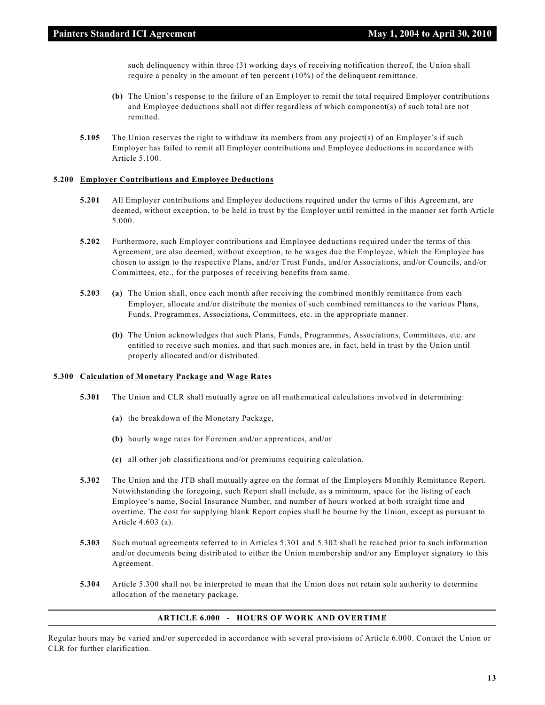such delinquency within three (3) working days of receiving notification thereof, the Union shall require a penalty in the amount of ten percent (10%) of the delinquent remittance.

- **(b)** The Union's response to the failure of an Employer to remit the total required Employer contributions and Employee deductions shall not differ regardless of which component(s) of such total are not remitted.
- **5.105** The Union reserves the right to withdraw its members from any project(s) of an Employer's if such Employer has failed to remit all Employer contributions and Employee deductions in accordance with Article 5.100.

#### **5.200 Employer Contributions and Employee Deductions**

- **5.201** All Employer contributions and Employee deductions required under the terms of this Agreement, are deemed, without exception, to be held in trust by the Employer until remitted in the manner set forth Article 5.000.
- **5.202** Furthermore, such Employer contributions and Employee deductions required under the terms of this Agreement, are also deemed, without exception, to be wages due the Employee, which the Employee has chosen to assign to the respective Plans, and/or Trust Funds, and/or Associations, and/or Councils, and/or Committees, etc., for the purposes of receiving benefits from same.
- **5.203 (a)** The Union shall, once each month after receiving the combined monthly remittance from each Employer, allocate and/or distribute the monies of such combined remittances to the various Plans, Funds, Programmes, Associations, Committees, etc. in the appropriate manner.
	- **(b)** The Union acknowledges that such Plans, Funds, Programmes, Associations, Committees, etc. are entitled to receive such monies, and that such monies are, in fact, held in trust by the Union until properly allocated and/or distributed.

# **5.300 Calculation of Monetary Package and Wage Rates**

- **5.301** The Union and CLR shall mutually agree on all mathematical calculations involved in determining:
	- **(a)** the breakdown of the Monetary Package,
	- **(b)** hourly wage rates for Foremen and/or apprentices, and/or
	- **(c)** all other job classifications and/or premiums requiring calculation.
- **5.302** The Union and the JTB shall mutually agree on the format of the Employers Monthly Remittance Report. Notwithstanding the foregoing, such Report shall include, as a minimum, space for the listing of each Employee's name, Social Insurance Number, and number of hours worked at both straight time and overtime. The cost for supplying blank Report copies shall be bourne by the Union, except as pursuant to Article 4.603 (a).
- **5.303** Such mutual agreements referred to in Articles 5.301 and 5.302 shall be reached prior to such information and/or documents being distributed to either the Union membership and/or any Employer signatory to this Agreement.
- **5.304** Article 5.300 shall not be interpreted to mean that the Union does not retain sole authority to determine allocation of the monetary package.

# **ARTICLE 6.000 - HOURS OF WORK AND OVERTIME**

Regular hours may be varied and/or superceded in accordance with several provisions of Article 6.000. Contact the Union or CLR for further clarification.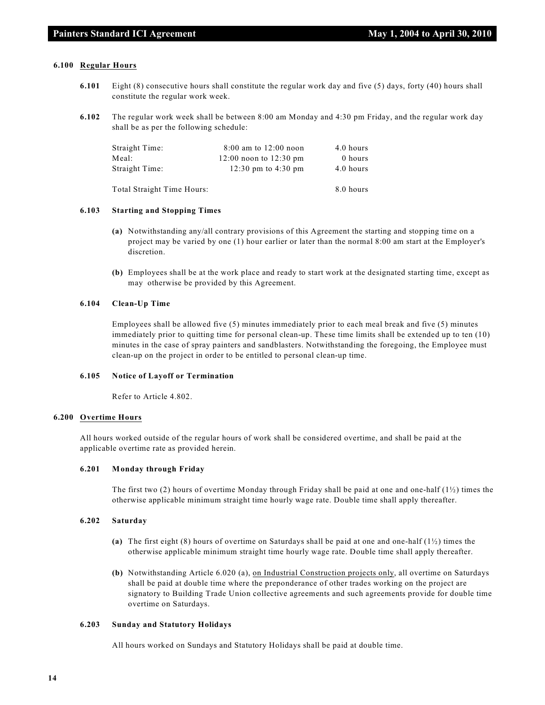#### **6.100 Regular Hours**

- **6.101** Eight (8) consecutive hours shall constitute the regular work day and five (5) days, forty (40) hours shall constitute the regular work week.
- **6.102** The regular work week shall be between 8:00 am Monday and 4:30 pm Friday, and the regular work day shall be as per the following schedule:

| Straight Time:             | $8:00$ am to $12:00$ noon  | 4.0 hours |
|----------------------------|----------------------------|-----------|
| Meal:                      | $12:00$ noon to $12:30$ pm | 0 hours   |
| Straight Time:             | 12:30 pm to 4:30 pm        | 4.0 hours |
| Total Straight Time Hours: |                            | 8.0 hours |

#### **6.103 Starting and Stopping Times**

- **(a)** Notwithstanding any/all contrary provisions of this Agreement the starting and stopping time on a project may be varied by one (1) hour earlier or later than the normal 8:00 am start at the Employer's discretion.
- **(b)** Employees shall be at the work place and ready to start work at the designated starting time, except as may otherwise be provided by this Agreement.

# **6.104 Clean-Up Time**

Employees shall be allowed five (5) minutes immediately prior to each meal break and five (5) minutes immediately prior to quitting time for personal clean-up. These time limits shall be extended up to ten (10) minutes in the case of spray painters and sandblasters. Notwithstanding the foregoing, the Employee must clean-up on the project in order to be entitled to personal clean-up time.

# **6.105 Notice of Layoff or Termination**

Refer to Article 4.802.

#### **6.200 Overtime Hours**

All hours worked outside of the regular hours of work shall be considered overtime, and shall be paid at the applicable overtime rate as provided herein.

#### **6.201 Monday through Friday**

The first two (2) hours of overtime Monday through Friday shall be paid at one and one-half  $(1\frac{1}{2})$  times the otherwise applicable minimum straight time hourly wage rate. Double time shall apply thereafter.

#### **6.202 Saturday**

- **(a)** The first eight (8) hours of overtime on Saturdays shall be paid at one and one-half (1½) times the otherwise applicable minimum straight time hourly wage rate. Double time shall apply thereafter.
- **(b)** Notwithstanding Article 6.020 (a), on Industrial Construction projects only, all overtime on Saturdays shall be paid at double time where the preponderance of other trades working on the project are signatory to Building Trade Union collective agreements and such agreements provide for double time overtime on Saturdays.

#### **6.203 Sunday and Statutory Holidays**

All hours worked on Sundays and Statutory Holidays shall be paid at double time.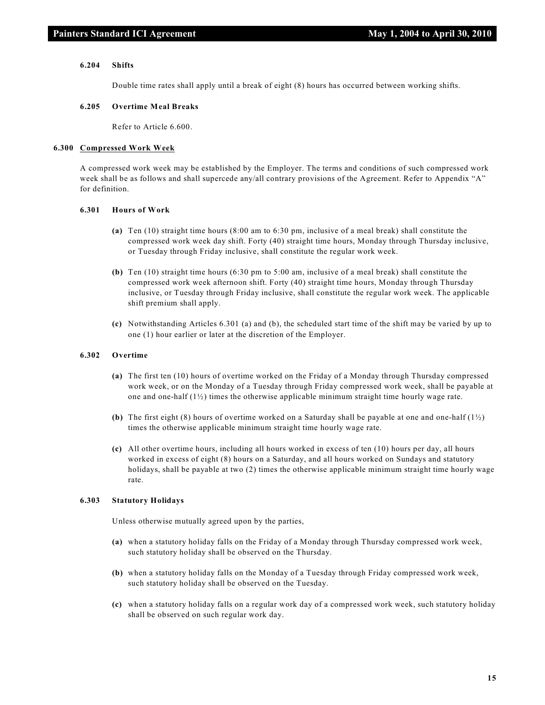#### **6.204 Shifts**

Double time rates shall apply until a break of eight (8) hours has occurred between working shifts.

#### **6.205 Overtime Meal Breaks**

Refer to Article 6.600.

#### **6.300 Compressed Work Week**

A compressed work week may be established by the Employer. The terms and conditions of such compressed work week shall be as follows and shall supercede any/all contrary provisions of the Agreement. Refer to Appendix "A" for definition.

# **6.301 Hours of Work**

- **(a)** Ten (10) straight time hours (8:00 am to 6:30 pm, inclusive of a meal break) shall constitute the compressed work week day shift. Forty (40) straight time hours, Monday through Thursday inclusive, or Tuesday through Friday inclusive, shall constitute the regular work week.
- **(b)** Ten (10) straight time hours (6:30 pm to 5:00 am, inclusive of a meal break) shall constitute the compressed work week afternoon shift. Forty (40) straight time hours, Monday through Thursday inclusive, or Tuesday through Friday inclusive, shall constitute the regular work week. The applicable shift premium shall apply.
- **(c)** Notwithstanding Articles 6.301 (a) and (b), the scheduled start time of the shift may be varied by up to one (1) hour earlier or later at the discretion of the Employer.

#### **6.302 Overtime**

- **(a)** The first ten (10) hours of overtime worked on the Friday of a Monday through Thursday compressed work week, or on the Monday of a Tuesday through Friday compressed work week, shall be payable at one and one-half  $(1/2)$  times the otherwise applicable minimum straight time hourly wage rate.
- **(b)** The first eight (8) hours of overtime worked on a Saturday shall be payable at one and one-half (1½) times the otherwise applicable minimum straight time hourly wage rate.
- **(c)** All other overtime hours, including all hours worked in excess of ten (10) hours per day, all hours worked in excess of eight (8) hours on a Saturday, and all hours worked on Sundays and statutory holidays, shall be payable at two (2) times the otherwise applicable minimum straight time hourly wage rate.

#### **6.303 Statutory Holidays**

Unless otherwise mutually agreed upon by the parties,

- **(a)** when a statutory holiday falls on the Friday of a Monday through Thursday compressed work week, such statutory holiday shall be observed on the Thursday.
- **(b)** when a statutory holiday falls on the Monday of a Tuesday through Friday compressed work week, such statutory holiday shall be observed on the Tuesday.
- **(c)** when a statutory holiday falls on a regular work day of a compressed work week, such statutory holiday shall be observed on such regular work day.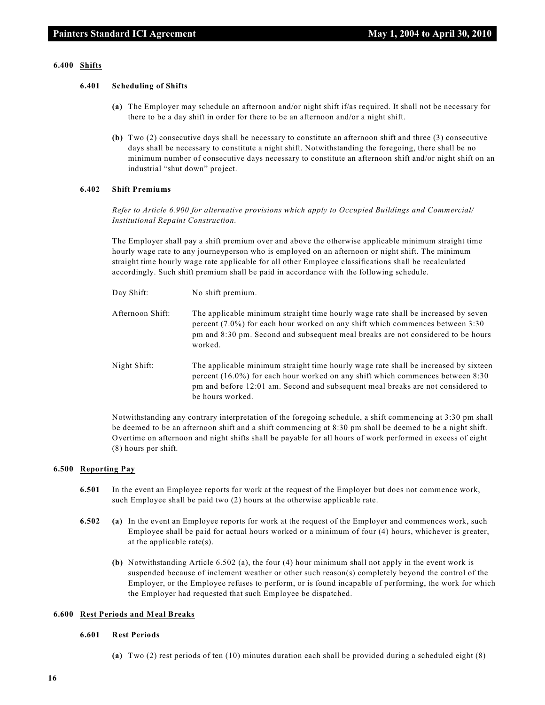#### **6.400 Shifts**

#### **6.401 Scheduling of Shifts**

- **(a)** The Employer may schedule an afternoon and/or night shift if/as required. It shall not be necessary for there to be a day shift in order for there to be an afternoon and/or a night shift.
- **(b)** Two (2) consecutive days shall be necessary to constitute an afternoon shift and three (3) consecutive days shall be necessary to constitute a night shift. Notwithstanding the foregoing, there shall be no minimum number of consecutive days necessary to constitute an afternoon shift and/or night shift on an industrial "shut down" project.

#### **6.402 Shift Premiums**

*Refer to Article 6.900 for alternative provisions which apply to Occupied Buildings and Commercial/ Institutional Repaint Construction.*

The Employer shall pay a shift premium over and above the otherwise applicable minimum straight time hourly wage rate to any journeyperson who is employed on an afternoon or night shift. The minimum straight time hourly wage rate applicable for all other Employee classifications shall be recalculated accordingly. Such shift premium shall be paid in accordance with the following schedule.

| Day Shift:       | No shift premium.                                                                                                                                                                                                                                                               |
|------------------|---------------------------------------------------------------------------------------------------------------------------------------------------------------------------------------------------------------------------------------------------------------------------------|
| Afternoon Shift: | The applicable minimum straight time hourly wage rate shall be increased by seven<br>percent $(7.0\%)$ for each hour worked on any shift which commences between $3:30$<br>pm and 8:30 pm. Second and subsequent meal breaks are not considered to be hours<br>worked.          |
| Night Shift:     | The applicable minimum straight time hourly wage rate shall be increased by sixteen<br>percent $(16.0\%)$ for each hour worked on any shift which commences between 8:30<br>pm and before 12:01 am. Second and subsequent meal breaks are not considered to<br>be hours worked. |

Notwithstanding any contrary interpretation of the foregoing schedule, a shift commencing at 3:30 pm shall be deemed to be an afternoon shift and a shift commencing at 8:30 pm shall be deemed to be a night shift. Overtime on afternoon and night shifts shall be payable for all hours of work performed in excess of eight (8) hours per shift.

#### **6.500 Reporting Pay**

- **6.501** In the event an Employee reports for work at the request of the Employer but does not commence work, such Employee shall be paid two (2) hours at the otherwise applicable rate.
- **6.502 (a)** In the event an Employee reports for work at the request of the Employer and commences work, such Employee shall be paid for actual hours worked or a minimum of four (4) hours, whichever is greater, at the applicable rate(s).
	- **(b)** Notwithstanding Article 6.502 (a), the four (4) hour minimum shall not apply in the event work is suspended because of inclement weather or other such reason(s) completely beyond the control of the Employer, or the Employee refuses to perform, or is found incapable of performing, the work for which the Employer had requested that such Employee be dispatched.

#### **6.600 Rest Periods and Meal Breaks**

#### **6.601 Rest Periods**

**(a)** Two (2) rest periods of ten (10) minutes duration each shall be provided during a scheduled eight (8)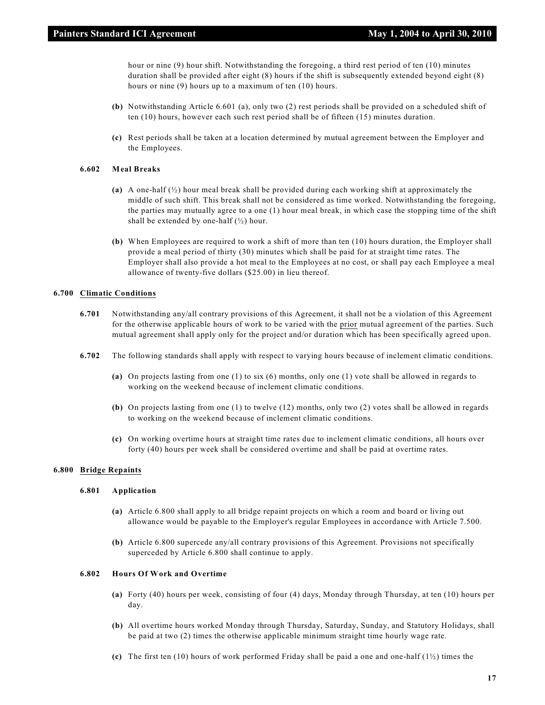hour or nine (9) hour shift. Notwithstanding the foregoing, a third rest period of ten (10) minutes duration shall be provided after eight (8) hours if the shift is subsequently extended beyond eight (8) hours or nine (9) hours up to a maximum of ten (10) hours.

- **(b)** Notwithstanding Article 6.601 (a), only two (2) rest periods shall be provided on a scheduled shift of ten (10) hours, however each such rest period shall be of fifteen (15) minutes duration.
- **(c)** Rest periods shall be taken at a location determined by mutual agreement between the Employer and the Employees.

#### **6.602 Meal Breaks**

- **(a)** A one-half (½) hour meal break shall be provided during each working shift at approximately the middle of such shift. This break shall not be considered as time worked. Notwithstanding the foregoing, the parties may mutually agree to a one (1) hour meal break, in which case the stopping time of the shift shall be extended by one-half  $(\frac{1}{2})$  hour.
- **(b)** When Employees are required to work a shift of more than ten (10) hours duration, the Employer shall provide a meal period of thirty (30) minutes which shall be paid for at straight time rates. The Employer shall also provide a hot meal to the Employees at no cost, or shall pay each Employee a meal allowance of twenty-five dollars (\$25.00) in lieu thereof.

# **6.700 Climatic Conditions**

- **6.701** Notwithstanding any/all contrary provisions of this Agreement, it shall not be a violation of this Agreement for the otherwise applicable hours of work to be varied with the prior mutual agreement of the parties. Such mutual agreement shall apply only for the project and/or duration which has been specifically agreed upon.
- **6.702** The following standards shall apply with respect to varying hours because of inclement climatic conditions.
	- **(a)** On projects lasting from one (1) to six (6) months, only one (1) vote shall be allowed in regards to working on the weekend because of inclement climatic conditions.
	- **(b)** On projects lasting from one (1) to twelve (12) months, only two (2) votes shall be allowed in regards to working on the weekend because of inclement climatic conditions.
	- **(c)** On working overtime hours at straight time rates due to inclement climatic conditions, all hours over forty (40) hours per week shall be considered overtime and shall be paid at overtime rates.

#### **6.800 Bridge Repaints**

#### **6.801 Application**

- **(a)** Article 6.800 shall apply to all bridge repaint projects on which a room and board or living out allowance would be payable to the Employer's regular Employees in accordance with Article 7.500.
- **(b)** Article 6.800 supercede any/all contrary provisions of this Agreement. Provisions not specifically superceded by Article 6.800 shall continue to apply.

# **6.802 Hours Of Work and Overtime**

- **(a)** Forty (40) hours per week, consisting of four (4) days, Monday through Thursday, at ten (10) hours per day.
- **(b)** All overtime hours worked Monday through Thursday, Saturday, Sunday, and Statutory Holidays, shall be paid at two (2) times the otherwise applicable minimum straight time hourly wage rate.
- **(c)** The first ten (10) hours of work performed Friday shall be paid a one and one-half (1½) times the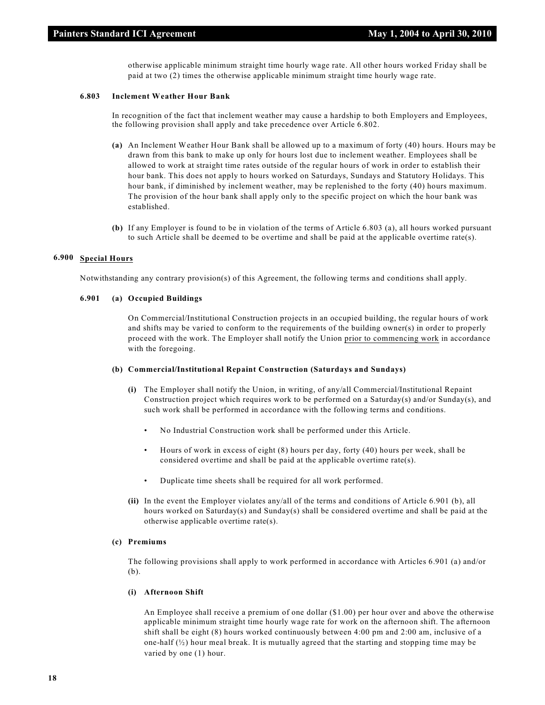otherwise applicable minimum straight time hourly wage rate. All other hours worked Friday shall be paid at two (2) times the otherwise applicable minimum straight time hourly wage rate.

#### **6.803 Inclement Weather Hour Bank**

In recognition of the fact that inclement weather may cause a hardship to both Employers and Employees, the following provision shall apply and take precedence over Article 6.802.

- **(a)** An Inclement Weather Hour Bank shall be allowed up to a maximum of forty (40) hours. Hours may be drawn from this bank to make up only for hours lost due to inclement weather. Employees shall be allowed to work at straight time rates outside of the regular hours of work in order to establish their hour bank. This does not apply to hours worked on Saturdays, Sundays and Statutory Holidays. This hour bank, if diminished by inclement weather, may be replenished to the forty (40) hours maximum. The provision of the hour bank shall apply only to the specific project on which the hour bank was established.
- **(b)** If any Employer is found to be in violation of the terms of Article 6.803 (a), all hours worked pursuant to such Article shall be deemed to be overtime and shall be paid at the applicable overtime rate(s).

# **6.900 Special Hours**

Notwithstanding any contrary provision(s) of this Agreement, the following terms and conditions shall apply.

# **6.901 (a) Occupied Buildings**

On Commercial/Institutional Construction projects in an occupied building, the regular hours of work and shifts may be varied to conform to the requirements of the building owner(s) in order to properly proceed with the work. The Employer shall notify the Union prior to commencing work in accordance with the foregoing.

#### **(b) Commercial/Institutional Repaint Construction (Saturdays and Sundays)**

- **(i)** The Employer shall notify the Union, in writing, of any/all Commercial/Institutional Repaint Construction project which requires work to be performed on a Saturday(s) and/or Sunday(s), and such work shall be performed in accordance with the following terms and conditions.
	- No Industrial Construction work shall be performed under this Article.
	- Hours of work in excess of eight (8) hours per day, forty (40) hours per week, shall be considered overtime and shall be paid at the applicable overtime rate(s).
	- Duplicate time sheets shall be required for all work performed.
- **(ii)** In the event the Employer violates any/all of the terms and conditions of Article 6.901 (b), all hours worked on Saturday(s) and Sunday(s) shall be considered overtime and shall be paid at the otherwise applicable overtime rate(s).

# **(c) Premiums**

The following provisions shall apply to work performed in accordance with Articles 6.901 (a) and/or (b).

#### **(i) Afternoon Shift**

An Employee shall receive a premium of one dollar (\$1.00) per hour over and above the otherwise applicable minimum straight time hourly wage rate for work on the afternoon shift. The afternoon shift shall be eight (8) hours worked continuously between 4:00 pm and 2:00 am, inclusive of a one-half  $(\frac{1}{2})$  hour meal break. It is mutually agreed that the starting and stopping time may be varied by one (1) hour.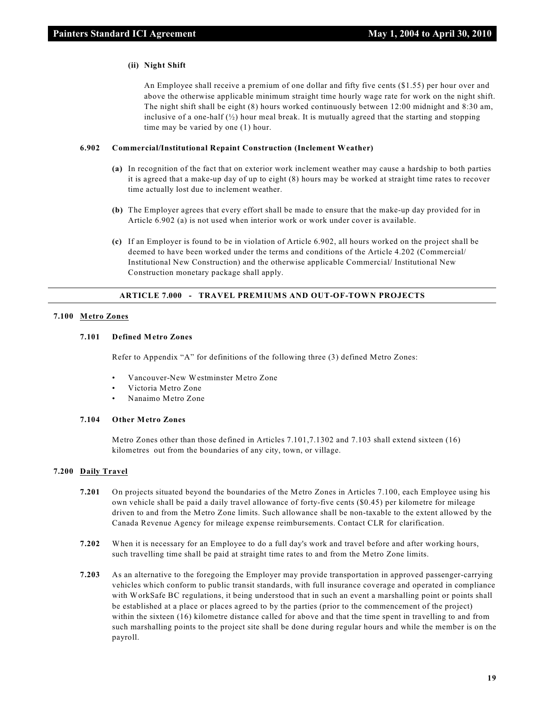#### **(ii) Night Shift**

An Employee shall receive a premium of one dollar and fifty five cents (\$1.55) per hour over and above the otherwise applicable minimum straight time hourly wage rate for work on the night shift. The night shift shall be eight (8) hours worked continuously between 12:00 midnight and 8:30 am, inclusive of a one-half  $\langle \frac{1}{2} \rangle$  hour meal break. It is mutually agreed that the starting and stopping time may be varied by one (1) hour.

#### **6.902 Commercial/Institutional Repaint Construction (Inclement Weather)**

- **(a)** In recognition of the fact that on exterior work inclement weather may cause a hardship to both parties it is agreed that a make-up day of up to eight (8) hours may be worked at straight time rates to recover time actually lost due to inclement weather.
- **(b)** The Employer agrees that every effort shall be made to ensure that the make-up day provided for in Article 6.902 (a) is not used when interior work or work under cover is available.
- **(c)** If an Employer is found to be in violation of Article 6.902, all hours worked on the project shall be deemed to have been worked under the terms and conditions of the Article 4.202 (Commercial/ Institutional New Construction) and the otherwise applicable Commercial/ Institutional New Construction monetary package shall apply.

#### **ARTICLE 7.000 - TRAVEL PREMIUMS AND OUT-OF-TOWN PROJECTS**

#### **7.100 Metro Zones**

# **7.101 Defined Metro Zones**

Refer to Appendix "A" for definitions of the following three (3) defined Metro Zones:

- Vancouver-New Westminster Metro Zone
- Victoria Metro Zone
- Nanaimo Metro Zone

# **7.104 Other Metro Zones**

Metro Zones other than those defined in Articles 7.101,7.1302 and 7.103 shall extend sixteen (16) kilometres out from the boundaries of any city, town, or village.

#### **7.200 Daily Travel**

- **7.201** On projects situated beyond the boundaries of the Metro Zones in Articles 7.100, each Employee using his own vehicle shall be paid a daily travel allowance of forty-five cents (\$0.45) per kilometre for mileage driven to and from the Metro Zone limits. Such allowance shall be non-taxable to the extent allowed by the Canada Revenue Agency for mileage expense reimbursements. Contact CLR for clarification.
- **7.202** When it is necessary for an Employee to do a full day's work and travel before and after working hours, such travelling time shall be paid at straight time rates to and from the Metro Zone limits.
- **7.203** As an alternative to the foregoing the Employer may provide transportation in approved passenger-carrying vehicles which conform to public transit standards, with full insurance coverage and operated in compliance with WorkSafe BC regulations, it being understood that in such an event a marshalling point or points shall be established at a place or places agreed to by the parties (prior to the commencement of the project) within the sixteen (16) kilometre distance called for above and that the time spent in travelling to and from such marshalling points to the project site shall be done during regular hours and while the member is on the payroll.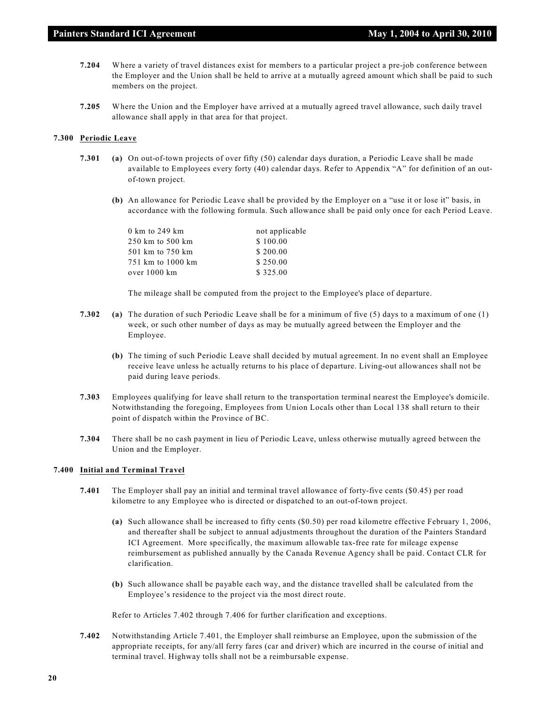- **7.204** Where a variety of travel distances exist for members to a particular project a pre-job conference between the Employer and the Union shall be held to arrive at a mutually agreed amount which shall be paid to such members on the project.
- **7.205** Where the Union and the Employer have arrived at a mutually agreed travel allowance, such daily travel allowance shall apply in that area for that project.

# **7.300 Periodic Leave**

- **7.301 (a)** On out-of-town projects of over fifty (50) calendar days duration, a Periodic Leave shall be made available to Employees every forty (40) calendar days. Refer to Appendix "A" for definition of an outof-town project.
	- **(b)** An allowance for Periodic Leave shall be provided by the Employer on a "use it or lose it" basis, in accordance with the following formula. Such allowance shall be paid only once for each Period Leave.

| $0 \text{ km}$ to 249 km | not applicable |
|--------------------------|----------------|
| 250 km to 500 km         | \$100.00       |
| 501 km to 750 km         | \$200.00       |
| 751 km to 1000 km        | \$250.00       |
| over 1000 km             | \$325.00       |

The mileage shall be computed from the project to the Employee's place of departure.

- **7.302 (a)** The duration of such Periodic Leave shall be for a minimum of five (5) days to a maximum of one (1) week, or such other number of days as may be mutually agreed between the Employer and the Employee.
	- **(b)** The timing of such Periodic Leave shall decided by mutual agreement. In no event shall an Employee receive leave unless he actually returns to his place of departure. Living-out allowances shall not be paid during leave periods.
- **7.303** Employees qualifying for leave shall return to the transportation terminal nearest the Employee's domicile. Notwithstanding the foregoing, Employees from Union Locals other than Local 138 shall return to their point of dispatch within the Province of BC.
- **7.304** There shall be no cash payment in lieu of Periodic Leave, unless otherwise mutually agreed between the Union and the Employer.

# **7.400 Initial and Terminal Travel**

- **7.401** The Employer shall pay an initial and terminal travel allowance of forty-five cents (\$0.45) per road kilometre to any Employee who is directed or dispatched to an out-of-town project.
	- **(a)** Such allowance shall be increased to fifty cents (\$0.50) per road kilometre effective February 1, 2006, and thereafter shall be subject to annual adjustments throughout the duration of the Painters Standard ICI Agreement. More specifically, the maximum allowable tax-free rate for mileage expense reimbursement as published annually by the Canada Revenue Agency shall be paid. Contact CLR for clarification.
	- **(b)** Such allowance shall be payable each way, and the distance travelled shall be calculated from the Employee's residence to the project via the most direct route.

Refer to Articles 7.402 through 7.406 for further clarification and exceptions.

**7.402** Notwithstanding Article 7.401, the Employer shall reimburse an Employee, upon the submission of the appropriate receipts, for any/all ferry fares (car and driver) which are incurred in the course of initial and terminal travel. Highway tolls shall not be a reimbursable expense.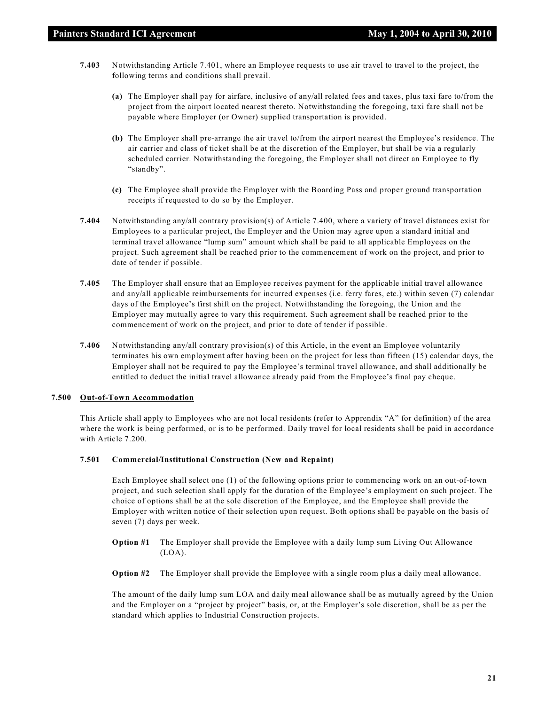- **7.403** Notwithstanding Article 7.401, where an Employee requests to use air travel to travel to the project, the following terms and conditions shall prevail.
	- **(a)** The Employer shall pay for airfare, inclusive of any/all related fees and taxes, plus taxi fare to/from the project from the airport located nearest thereto. Notwithstanding the foregoing, taxi fare shall not be payable where Employer (or Owner) supplied transportation is provided.
	- **(b)** The Employer shall pre-arrange the air travel to/from the airport nearest the Employee's residence. The air carrier and class of ticket shall be at the discretion of the Employer, but shall be via a regularly scheduled carrier. Notwithstanding the foregoing, the Employer shall not direct an Employee to fly "standby".
	- **(c)** The Employee shall provide the Employer with the Boarding Pass and proper ground transportation receipts if requested to do so by the Employer.
- **7.404** Notwithstanding any/all contrary provision(s) of Article 7.400, where a variety of travel distances exist for Employees to a particular project, the Employer and the Union may agree upon a standard initial and terminal travel allowance "lump sum" amount which shall be paid to all applicable Employees on the project. Such agreement shall be reached prior to the commencement of work on the project, and prior to date of tender if possible.
- **7.405** The Employer shall ensure that an Employee receives payment for the applicable initial travel allowance and any/all applicable reimbursements for incurred expenses (i.e. ferry fares, etc.) within seven (7) calendar days of the Employee's first shift on the project. Notwithstanding the foregoing, the Union and the Employer may mutually agree to vary this requirement. Such agreement shall be reached prior to the commencement of work on the project, and prior to date of tender if possible.
- **7.406** Notwithstanding any/all contrary provision(s) of this Article, in the event an Employee voluntarily terminates his own employment after having been on the project for less than fifteen (15) calendar days, the Employer shall not be required to pay the Employee's terminal travel allowance, and shall additionally be entitled to deduct the initial travel allowance already paid from the Employee's final pay cheque.

# **7.500 Out-of-Town Accommodation**

This Article shall apply to Employees who are not local residents (refer to Apprendix "A" for definition) of the area where the work is being performed, or is to be performed. Daily travel for local residents shall be paid in accordance with Article 7.200.

#### **7.501 Commercial/Institutional Construction (New and Repaint)**

Each Employee shall select one (1) of the following options prior to commencing work on an out-of-town project, and such selection shall apply for the duration of the Employee's employment on such project. The choice of options shall be at the sole discretion of the Employee, and the Employee shall provide the Employer with written notice of their selection upon request. Both options shall be payable on the basis of seven (7) days per week.

- **Option #1** The Employer shall provide the Employee with a daily lump sum Living Out Allowance (LOA).
- **Option #2** The Employer shall provide the Employee with a single room plus a daily meal allowance.

The amount of the daily lump sum LOA and daily meal allowance shall be as mutually agreed by the Union and the Employer on a "project by project" basis, or, at the Employer's sole discretion, shall be as per the standard which applies to Industrial Construction projects.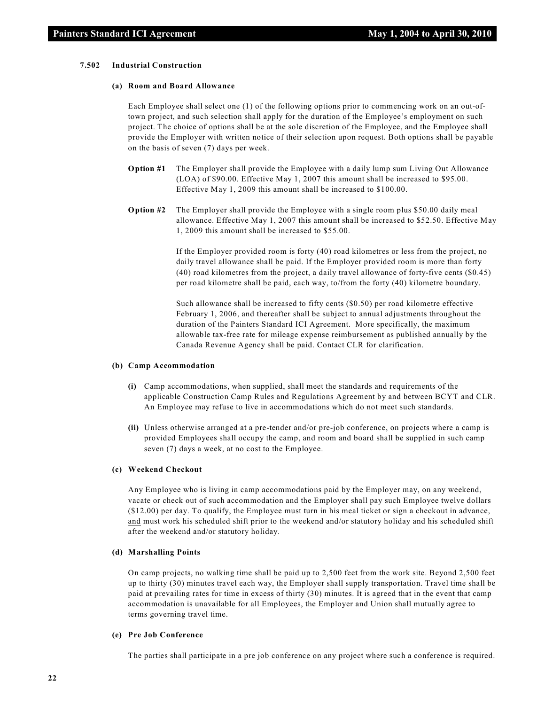#### **7.502 Industrial Construction**

#### **(a) Room and Board Allowance**

Each Employee shall select one (1) of the following options prior to commencing work on an out-oftown project, and such selection shall apply for the duration of the Employee's employment on such project. The choice of options shall be at the sole discretion of the Employee, and the Employee shall provide the Employer with written notice of their selection upon request. Both options shall be payable on the basis of seven (7) days per week.

- **Option #1** The Employer shall provide the Employee with a daily lump sum Living Out Allowance (LOA) of \$90.00. Effective May 1, 2007 this amount shall be increased to \$95.00. Effective May 1, 2009 this amount shall be increased to \$100.00.
- **Option #2** The Employer shall provide the Employee with a single room plus \$50.00 daily meal allowance. Effective May 1, 2007 this amount shall be increased to \$52.50. Effective May 1, 2009 this amount shall be increased to \$55.00.

If the Employer provided room is forty (40) road kilometres or less from the project, no daily travel allowance shall be paid. If the Employer provided room is more than forty (40) road kilometres from the project, a daily travel allowance of forty-five cents (\$0.45) per road kilometre shall be paid, each way, to/from the forty (40) kilometre boundary.

Such allowance shall be increased to fifty cents (\$0.50) per road kilometre effective February 1, 2006, and thereafter shall be subject to annual adjustments throughout the duration of the Painters Standard ICI Agreement. More specifically, the maximum allowable tax-free rate for mileage expense reimbursement as published annually by the Canada Revenue Agency shall be paid. Contact CLR for clarification.

#### **(b) Camp Accommodation**

- **(i)** Camp accommodations, when supplied, shall meet the standards and requirements of the applicable Construction Camp Rules and Regulations Agreement by and between BCYT and CLR. An Employee may refuse to live in accommodations which do not meet such standards.
- **(ii)** Unless otherwise arranged at a pre-tender and/or pre-job conference, on projects where a camp is provided Employees shall occupy the camp, and room and board shall be supplied in such camp seven (7) days a week, at no cost to the Employee.

#### **(c) Weekend Checkout**

Any Employee who is living in camp accommodations paid by the Employer may, on any weekend, vacate or check out of such accommodation and the Employer shall pay such Employee twelve dollars (\$12.00) per day. To qualify, the Employee must turn in his meal ticket or sign a checkout in advance, and must work his scheduled shift prior to the weekend and/or statutory holiday and his scheduled shift after the weekend and/or statutory holiday.

# **(d) Marshalling Points**

On camp projects, no walking time shall be paid up to 2,500 feet from the work site. Beyond 2,500 feet up to thirty (30) minutes travel each way, the Employer shall supply transportation. Travel time shall be paid at prevailing rates for time in excess of thirty (30) minutes. It is agreed that in the event that camp accommodation is unavailable for all Employees, the Employer and Union shall mutually agree to terms governing travel time.

#### **(e) Pre Job Conference**

The parties shall participate in a pre job conference on any project where such a conference is required.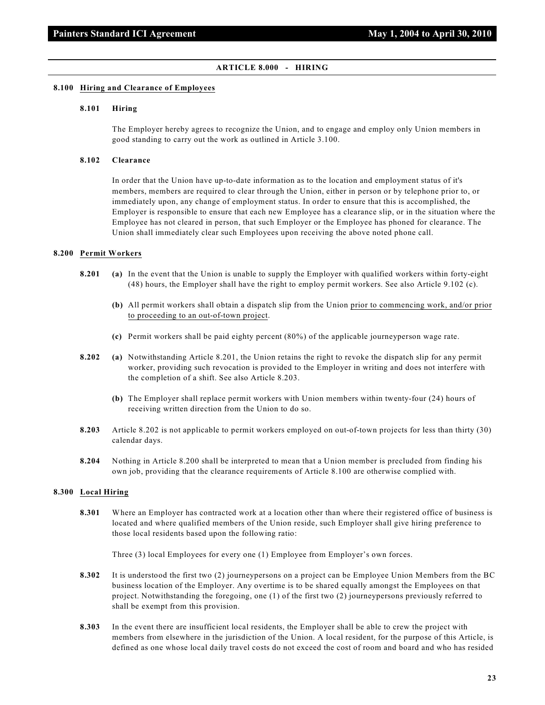#### **ARTICLE 8.000 - HIRING**

#### **8.100 Hiring and Clearance of Employees**

#### **8.101 Hiring**

The Employer hereby agrees to recognize the Union, and to engage and employ only Union members in good standing to carry out the work as outlined in Article 3.100.

#### **8.102 Clearance**

In order that the Union have up-to-date information as to the location and employment status of it's members, members are required to clear through the Union, either in person or by telephone prior to, or immediately upon, any change of employment status. In order to ensure that this is accomplished, the Employer is responsible to ensure that each new Employee has a clearance slip, or in the situation where the Employee has not cleared in person, that such Employer or the Employee has phoned for clearance. The Union shall immediately clear such Employees upon receiving the above noted phone call.

#### **8.200 Permit Workers**

- **8.201 (a)** In the event that the Union is unable to supply the Employer with qualified workers within forty-eight (48) hours, the Employer shall have the right to employ permit workers. See also Article 9.102 (c).
	- **(b)** All permit workers shall obtain a dispatch slip from the Union prior to commencing work, and/or prior to proceeding to an out-of-town project.
	- **(c)** Permit workers shall be paid eighty percent (80%) of the applicable journeyperson wage rate.
- **8.202 (a)** Notwithstanding Article 8.201, the Union retains the right to revoke the dispatch slip for any permit worker, providing such revocation is provided to the Employer in writing and does not interfere with the completion of a shift. See also Article 8.203.
	- **(b)** The Employer shall replace permit workers with Union members within twenty-four (24) hours of receiving written direction from the Union to do so.
- **8.203** Article 8.202 is not applicable to permit workers employed on out-of-town projects for less than thirty (30) calendar days.
- **8.204** Nothing in Article 8.200 shall be interpreted to mean that a Union member is precluded from finding his own job, providing that the clearance requirements of Article 8.100 are otherwise complied with.

#### **8.300 Local Hiring**

**8.301** Where an Employer has contracted work at a location other than where their registered office of business is located and where qualified members of the Union reside, such Employer shall give hiring preference to those local residents based upon the following ratio:

Three (3) local Employees for every one (1) Employee from Employer's own forces.

- **8.302** It is understood the first two (2) journeypersons on a project can be Employee Union Members from the BC business location of the Employer. Any overtime is to be shared equally amongst the Employees on that project. Notwithstanding the foregoing, one (1) of the first two (2) journeypersons previously referred to shall be exempt from this provision.
- **8.303** In the event there are insufficient local residents, the Employer shall be able to crew the project with members from elsewhere in the jurisdiction of the Union. A local resident, for the purpose of this Article, is defined as one whose local daily travel costs do not exceed the cost of room and board and who has resided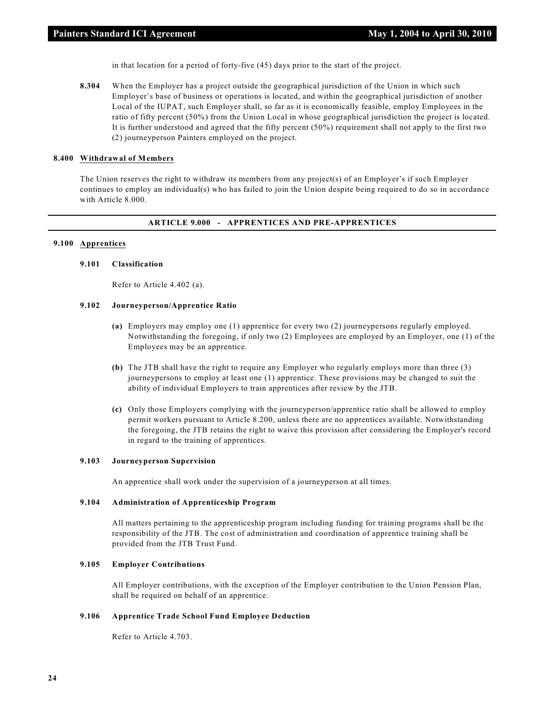in that location for a period of forty-five (45) days prior to the start of the project.

**8.304** When the Employer has a project outside the geographical jurisdiction of the Union in which such Employer's base of business or operations is located, and within the geographical jurisdiction of another Local of the IUPAT, such Employer shall, so far as it is economically feasible, employ Employees in the ratio of fifty percent (50%) from the Union Local in whose geographical jurisdiction the project is located. It is further understood and agreed that the fifty percent (50%) requirement shall not apply to the first two (2) journeyperson Painters employed on the project.

# **8.400 Withdrawal of Members**

The Union reserves the right to withdraw its members from any project(s) of an Employer's if such Employer continues to employ an individual(s) who has failed to join the Union despite being required to do so in accordance with Article 8.000.

# **ARTICLE 9.000 - APPRENTICES AND PRE-APPRENTICES**

# **9.100 Apprentices**

# **9.101 Classification**

Refer to Article 4.402 (a).

# **9.102 Journeyperson/Apprentice Ratio**

- **(a)** Employers may employ one (1) apprentice for every two (2) journeypersons regularly employed. Notwithstanding the foregoing, if only two (2) Employees are employed by an Employer, one (1) of the Employees may be an apprentice.
- **(b)** The JTB shall have the right to require any Employer who regularly employs more than three (3) journeypersons to employ at least one (1) apprentice. These provisions may be changed to suit the ability of individual Employers to train apprentices after review by the JTB.
- **(c)** Only those Employers complying with the journeyperson/apprentice ratio shall be allowed to employ permit workers pursuant to Article 8.200, unless there are no apprentices available. Notwithstanding the foregoing, the JTB retains the right to waive this provision after considering the Employer's record in regard to the training of apprentices.

# **9.103 Journeyperson Supervision**

An apprentice shall work under the supervision of a journeyperson at all times.

# **9.104 Administration of Apprenticeship Program**

All matters pertaining to the apprenticeship program including funding for training programs shall be the responsibility of the JTB. The cost of administration and coordination of apprentice training shall be provided from the JTB Trust Fund.

# **9.105 Employer Contributions**

All Employer contributions, with the exception of the Employer contribution to the Union Pension Plan, shall be required on behalf of an apprentice.

# **9.106 Apprentice Trade School Fund Employee Deduction**

Refer to Article 4.703.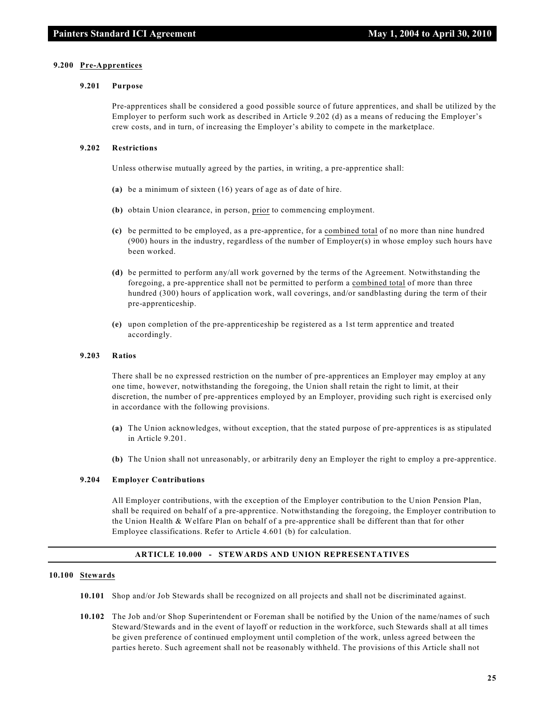#### **9.200 Pre-Apprentices**

#### **9.201 Purpose**

Pre-apprentices shall be considered a good possible source of future apprentices, and shall be utilized by the Employer to perform such work as described in Article 9.202 (d) as a means of reducing the Employer's crew costs, and in turn, of increasing the Employer's ability to compete in the marketplace.

#### **9.202 Restrictions**

Unless otherwise mutually agreed by the parties, in writing, a pre-apprentice shall:

- **(a)** be a minimum of sixteen (16) years of age as of date of hire.
- **(b)** obtain Union clearance, in person, prior to commencing employment.
- **(c)** be permitted to be employed, as a pre-apprentice, for a combined total of no more than nine hundred (900) hours in the industry, regardless of the number of Employer(s) in whose employ such hours have been worked.
- **(d)** be permitted to perform any/all work governed by the terms of the Agreement. Notwithstanding the foregoing, a pre-apprentice shall not be permitted to perform a combined total of more than three hundred (300) hours of application work, wall coverings, and/or sandblasting during the term of their pre-apprenticeship.
- **(e)** upon completion of the pre-apprenticeship be registered as a 1st term apprentice and treated accordingly.

#### **9.203 Ratios**

There shall be no expressed restriction on the number of pre-apprentices an Employer may employ at any one time, however, notwithstanding the foregoing, the Union shall retain the right to limit, at their discretion, the number of pre-apprentices employed by an Employer, providing such right is exercised only in accordance with the following provisions.

- **(a)** The Union acknowledges, without exception, that the stated purpose of pre-apprentices is as stipulated in Article 9.201.
- **(b)** The Union shall not unreasonably, or arbitrarily deny an Employer the right to employ a pre-apprentice.

# **9.204 Employer Contributions**

All Employer contributions, with the exception of the Employer contribution to the Union Pension Plan, shall be required on behalf of a pre-apprentice. Notwithstanding the foregoing, the Employer contribution to the Union Health & Welfare Plan on behalf of a pre-apprentice shall be different than that for other Employee classifications. Refer to Article 4.601 (b) for calculation.

# **ARTICLE 10.000 - STEWARDS AND UNION REPRESENTATIVES**

# **10.100 Stewards**

- **10.101** Shop and/or Job Stewards shall be recognized on all projects and shall not be discriminated against.
- **10.102** The Job and/or Shop Superintendent or Foreman shall be notified by the Union of the name/names of such Steward/Stewards and in the event of layoff or reduction in the workforce, such Stewards shall at all times be given preference of continued employment until completion of the work, unless agreed between the parties hereto. Such agreement shall not be reasonably withheld. The provisions of this Article shall not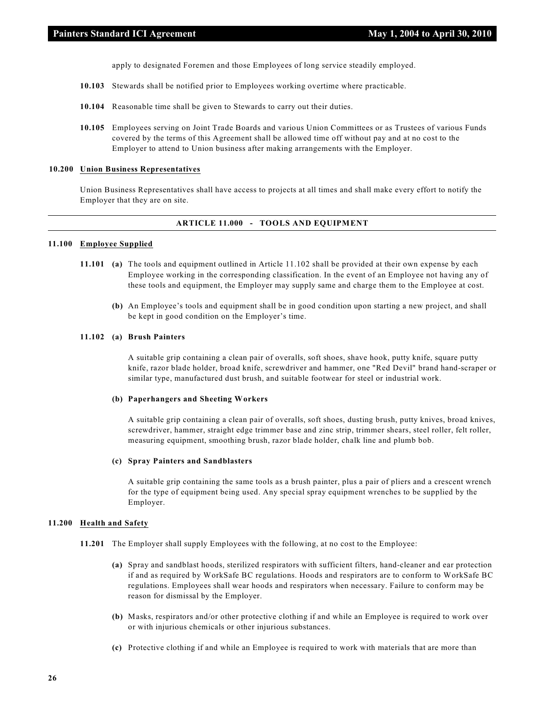apply to designated Foremen and those Employees of long service steadily employed.

- **10.103** Stewards shall be notified prior to Employees working overtime where practicable.
- **10.104** Reasonable time shall be given to Stewards to carry out their duties.
- **10.105** Employees serving on Joint Trade Boards and various Union Committees or as Trustees of various Funds covered by the terms of this Agreement shall be allowed time off without pay and at no cost to the Employer to attend to Union business after making arrangements with the Employer.

# **10.200 Union Business Representatives**

Union Business Representatives shall have access to projects at all times and shall make every effort to notify the Employer that they are on site.

#### **ARTICLE 11.000 - TOOLS AND EQUIPMENT**

#### **11.100 Employee Supplied**

- **11.101 (a)** The tools and equipment outlined in Article 11.102 shall be provided at their own expense by each Employee working in the corresponding classification. In the event of an Employee not having any of these tools and equipment, the Employer may supply same and charge them to the Employee at cost.
	- **(b)** An Employee's tools and equipment shall be in good condition upon starting a new project, and shall be kept in good condition on the Employer's time.

# **11.102 (a) Brush Painters**

A suitable grip containing a clean pair of overalls, soft shoes, shave hook, putty knife, square putty knife, razor blade holder, broad knife, screwdriver and hammer, one "Red Devil" brand hand-scraper or similar type, manufactured dust brush, and suitable footwear for steel or industrial work.

#### **(b) Paperhangers and Sheeting Workers**

A suitable grip containing a clean pair of overalls, soft shoes, dusting brush, putty knives, broad knives, screwdriver, hammer, straight edge trimmer base and zinc strip, trimmer shears, steel roller, felt roller, measuring equipment, smoothing brush, razor blade holder, chalk line and plumb bob.

# **(c) Spray Painters and Sandblasters**

A suitable grip containing the same tools as a brush painter, plus a pair of pliers and a crescent wrench for the type of equipment being used. Any special spray equipment wrenches to be supplied by the Employer.

#### **11.200 Health and Safety**

- **11.201** The Employer shall supply Employees with the following, at no cost to the Employee:
	- **(a)** Spray and sandblast hoods, sterilized respirators with sufficient filters, hand-cleaner and ear protection if and as required by WorkSafe BC regulations. Hoods and respirators are to conform to WorkSafe BC regulations. Employees shall wear hoods and respirators when necessary. Failure to conform may be reason for dismissal by the Employer.
	- **(b)** Masks, respirators and/or other protective clothing if and while an Employee is required to work over or with injurious chemicals or other injurious substances.
	- **(c)** Protective clothing if and while an Employee is required to work with materials that are more than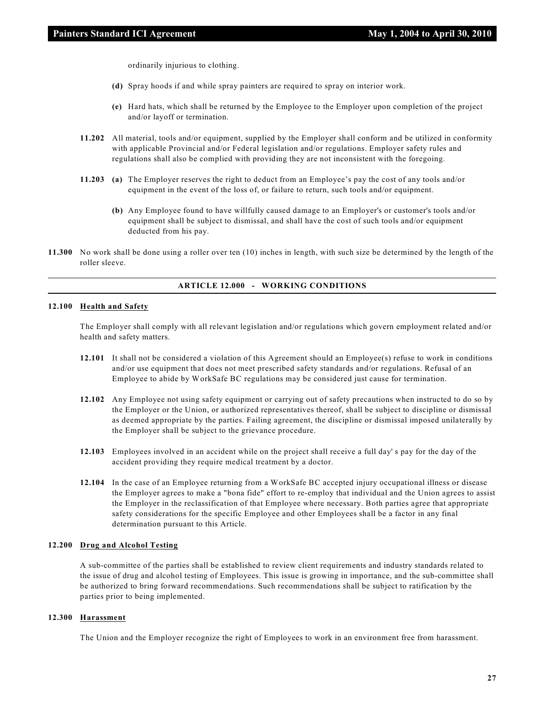ordinarily injurious to clothing.

- **(d)** Spray hoods if and while spray painters are required to spray on interior work.
- **(e)** Hard hats, which shall be returned by the Employee to the Employer upon completion of the project and/or layoff or termination.
- **11.202** All material, tools and/or equipment, supplied by the Employer shall conform and be utilized in conformity with applicable Provincial and/or Federal legislation and/or regulations. Employer safety rules and regulations shall also be complied with providing they are not inconsistent with the foregoing.
- **11.203 (a)** The Employer reserves the right to deduct from an Employee's pay the cost of any tools and/or equipment in the event of the loss of, or failure to return, such tools and/or equipment.
	- **(b)** Any Employee found to have willfully caused damage to an Employer's or customer's tools and/or equipment shall be subject to dismissal, and shall have the cost of such tools and/or equipment deducted from his pay.
- **11.300** No work shall be done using a roller over ten (10) inches in length, with such size be determined by the length of the roller sleeve.

# **ARTICLE 12.000 - WORKING CONDITIONS**

# **12.100 Health and Safety**

The Employer shall comply with all relevant legislation and/or regulations which govern employment related and/or health and safety matters.

- **12.101** It shall not be considered a violation of this Agreement should an Employee(s) refuse to work in conditions and/or use equipment that does not meet prescribed safety standards and/or regulations. Refusal of an Employee to abide by WorkSafe BC regulations may be considered just cause for termination.
- **12.102** Any Employee not using safety equipment or carrying out of safety precautions when instructed to do so by the Employer or the Union, or authorized representatives thereof, shall be subject to discipline or dismissal as deemed appropriate by the parties. Failing agreement, the discipline or dismissal imposed unilaterally by the Employer shall be subject to the grievance procedure.
- **12.103** Employees involved in an accident while on the project shall receive a full day' s pay for the day of the accident providing they require medical treatment by a doctor.
- **12.104** In the case of an Employee returning from a WorkSafe BC accepted injury occupational illness or disease the Employer agrees to make a "bona fide" effort to re-employ that individual and the Union agrees to assist the Employer in the reclassification of that Employee where necessary. Both parties agree that appropriate safety considerations for the specific Employee and other Employees shall be a factor in any final determination pursuant to this Article.

#### **12.200 Drug and Alcohol Testing**

A sub-committee of the parties shall be established to review client requirements and industry standards related to the issue of drug and alcohol testing of Employees. This issue is growing in importance, and the sub-committee shall be authorized to bring forward recommendations. Such recommendations shall be subject to ratification by the parties prior to being implemented.

#### **12.300 Harassment**

The Union and the Employer recognize the right of Employees to work in an environment free from harassment.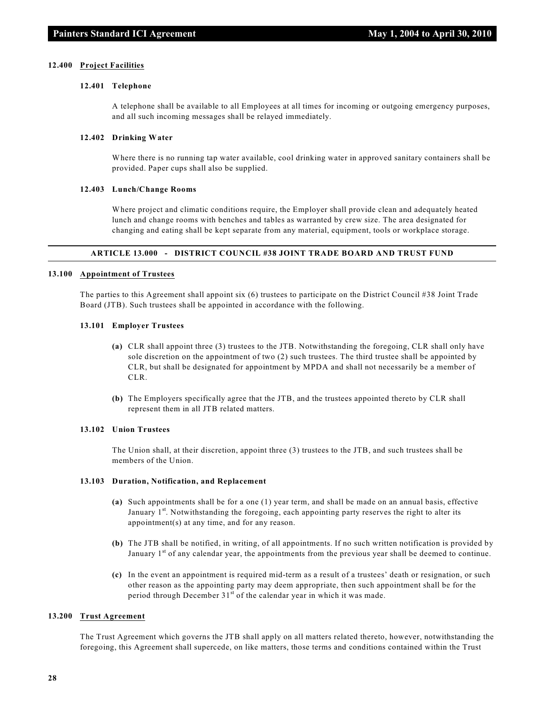#### **12.400 Project Facilities**

#### **12.401 Telephone**

A telephone shall be available to all Employees at all times for incoming or outgoing emergency purposes, and all such incoming messages shall be relayed immediately.

# **12.402 Drinking Water**

Where there is no running tap water available, cool drinking water in approved sanitary containers shall be provided. Paper cups shall also be supplied.

#### **12.403 Lunch/Change Rooms**

Where project and climatic conditions require, the Employer shall provide clean and adequately heated lunch and change rooms with benches and tables as warranted by crew size. The area designated for changing and eating shall be kept separate from any material, equipment, tools or workplace storage.

# **ARTICLE 13.000 - DISTRICT COUNCIL #38 JOINT TRADE BOARD AND TRUST FUND**

#### **13.100 Appointment of Trustees**

The parties to this Agreement shall appoint six (6) trustees to participate on the District Council #38 Joint Trade Board (JTB). Such trustees shall be appointed in accordance with the following.

#### **13.101 Employer Trustees**

- **(a)** CLR shall appoint three (3) trustees to the JTB. Notwithstanding the foregoing, CLR shall only have sole discretion on the appointment of two (2) such trustees. The third trustee shall be appointed by CLR, but shall be designated for appointment by MPDA and shall not necessarily be a member of CLR.
- **(b)** The Employers specifically agree that the JTB, and the trustees appointed thereto by CLR shall represent them in all JTB related matters.

#### **13.102 Union Trustees**

The Union shall, at their discretion, appoint three (3) trustees to the JTB, and such trustees shall be members of the Union.

#### **13.103 Duration, Notification, and Replacement**

- **(a)** Such appointments shall be for a one (1) year term, and shall be made on an annual basis, effective January 1st. Notwithstanding the foregoing, each appointing party reserves the right to alter its appointment(s) at any time, and for any reason.
- **(b)** The JTB shall be notified, in writing, of all appointments. If no such written notification is provided by January  $1<sup>st</sup>$  of any calendar year, the appointments from the previous year shall be deemed to continue.
- **(c)** In the event an appointment is required mid-term as a result of a trustees' death or resignation, or such other reason as the appointing party may deem appropriate, then such appointment shall be for the period through December 31<sup>st</sup> of the calendar year in which it was made.

#### **13.200 Trust Agreement**

The Trust Agreement which governs the JTB shall apply on all matters related thereto, however, notwithstanding the foregoing, this Agreement shall supercede, on like matters, those terms and conditions contained within the Trust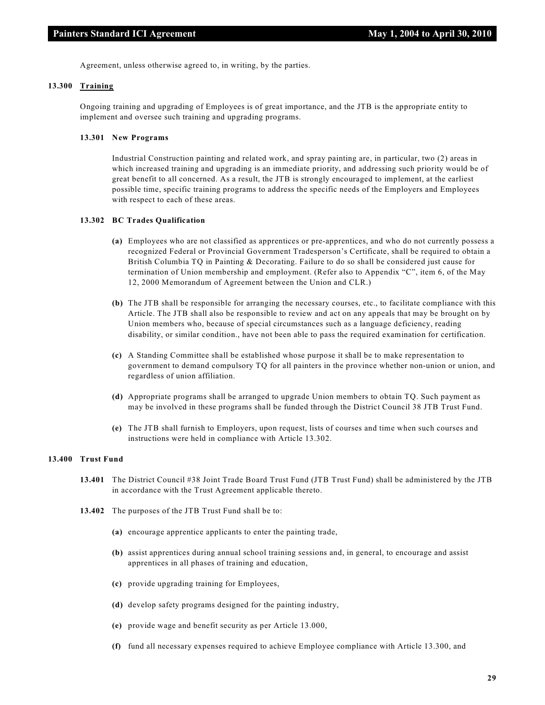Agreement, unless otherwise agreed to, in writing, by the parties.

# **13.300 Training**

Ongoing training and upgrading of Employees is of great importance, and the JTB is the appropriate entity to implement and oversee such training and upgrading programs.

#### **13.301 New Programs**

Industrial Construction painting and related work, and spray painting are, in particular, two (2) areas in which increased training and upgrading is an immediate priority, and addressing such priority would be of great benefit to all concerned. As a result, the JTB is strongly encouraged to implement, at the earliest possible time, specific training programs to address the specific needs of the Employers and Employees with respect to each of these areas.

# **13.302 BC Trades Qualification**

- **(a)** Employees who are not classified as apprentices or pre-apprentices, and who do not currently possess a recognized Federal or Provincial Government Tradesperson's Certificate, shall be required to obtain a British Columbia TQ in Painting & Decorating. Failure to do so shall be considered just cause for termination of Union membership and employment. (Refer also to Appendix "C", item 6, of the May 12, 2000 Memorandum of Agreement between the Union and CLR.)
- **(b)** The JTB shall be responsible for arranging the necessary courses, etc., to facilitate compliance with this Article. The JTB shall also be responsible to review and act on any appeals that may be brought on by Union members who, because of special circumstances such as a language deficiency, reading disability, or similar condition., have not been able to pass the required examination for certification.
- **(c)** A Standing Committee shall be established whose purpose it shall be to make representation to government to demand compulsory TQ for all painters in the province whether non-union or union, and regardless of union affiliation.
- **(d)** Appropriate programs shall be arranged to upgrade Union members to obtain TQ. Such payment as may be involved in these programs shall be funded through the District Council 38 JTB Trust Fund.
- **(e)** The JTB shall furnish to Employers, upon request, lists of courses and time when such courses and instructions were held in compliance with Article 13.302.

#### **13.400 Trust Fund**

- **13.401** The District Council #38 Joint Trade Board Trust Fund (JTB Trust Fund) shall be administered by the JTB in accordance with the Trust Agreement applicable thereto.
- **13.402** The purposes of the JTB Trust Fund shall be to:
	- **(a)** encourage apprentice applicants to enter the painting trade,
	- **(b)** assist apprentices during annual school training sessions and, in general, to encourage and assist apprentices in all phases of training and education,
	- **(c)** provide upgrading training for Employees,
	- **(d)** develop safety programs designed for the painting industry,
	- **(e)** provide wage and benefit security as per Article 13.000,
	- **(f)** fund all necessary expenses required to achieve Employee compliance with Article 13.300, and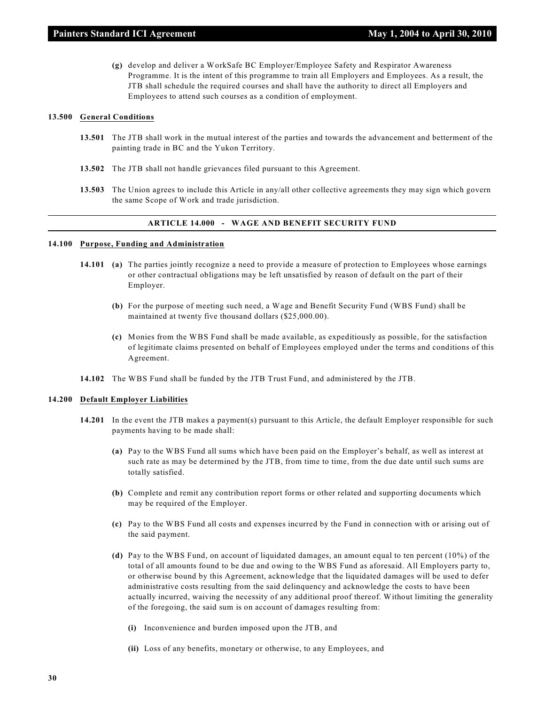**(g)** develop and deliver a WorkSafe BC Employer/Employee Safety and Respirator Awareness Programme. It is the intent of this programme to train all Employers and Employees. As a result, the JTB shall schedule the required courses and shall have the authority to direct all Employers and Employees to attend such courses as a condition of employment.

# **13.500 General Conditions**

- **13.501** The JTB shall work in the mutual interest of the parties and towards the advancement and betterment of the painting trade in BC and the Yukon Territory.
- **13.502** The JTB shall not handle grievances filed pursuant to this Agreement.
- **13.503** The Union agrees to include this Article in any/all other collective agreements they may sign which govern the same Scope of Work and trade jurisdiction.

# **ARTICLE 14.000 - WAGE AND BENEFIT SECURITY FUND**

#### **14.100 Purpose, Funding and Administration**

- **14.101 (a)** The parties jointly recognize a need to provide a measure of protection to Employees whose earnings or other contractual obligations may be left unsatisfied by reason of default on the part of their Employer.
	- **(b)** For the purpose of meeting such need, a Wage and Benefit Security Fund (WBS Fund) shall be maintained at twenty five thousand dollars (\$25,000.00).
	- **(c)** Monies from the WBS Fund shall be made available, as expeditiously as possible, for the satisfaction of legitimate claims presented on behalf of Employees employed under the terms and conditions of this Agreement.
- **14.102** The WBS Fund shall be funded by the JTB Trust Fund, and administered by the JTB.

#### **14.200 Default Employer Liabilities**

- **14.201** In the event the JTB makes a payment(s) pursuant to this Article, the default Employer responsible for such payments having to be made shall:
	- **(a)** Pay to the WBS Fund all sums which have been paid on the Employer's behalf, as well as interest at such rate as may be determined by the JTB, from time to time, from the due date until such sums are totally satisfied.
	- **(b)** Complete and remit any contribution report forms or other related and supporting documents which may be required of the Employer.
	- **(c)** Pay to the WBS Fund all costs and expenses incurred by the Fund in connection with or arising out of the said payment.
	- **(d)** Pay to the WBS Fund, on account of liquidated damages, an amount equal to ten percent (10%) of the total of all amounts found to be due and owing to the WBS Fund as aforesaid. All Employers party to, or otherwise bound by this Agreement, acknowledge that the liquidated damages will be used to defer administrative costs resulting from the said delinquency and acknowledge the costs to have been actually incurred, waiving the necessity of any additional proof thereof. Without limiting the generality of the foregoing, the said sum is on account of damages resulting from:
		- **(i)** Inconvenience and burden imposed upon the JTB, and
		- **(ii)** Loss of any benefits, monetary or otherwise, to any Employees, and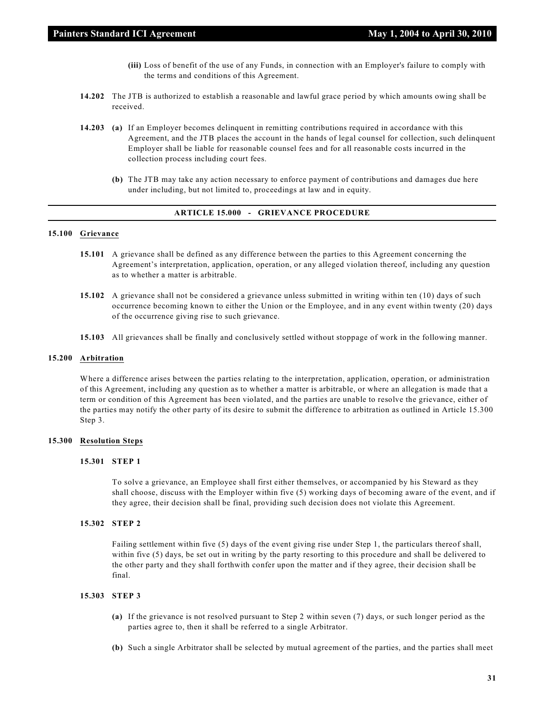- **(iii)** Loss of benefit of the use of any Funds, in connection with an Employer's failure to comply with the terms and conditions of this Agreement.
- **14.202** The JTB is authorized to establish a reasonable and lawful grace period by which amounts owing shall be received.
- **14.203 (a)** If an Employer becomes delinquent in remitting contributions required in accordance with this Agreement, and the JTB places the account in the hands of legal counsel for collection, such delinquent Employer shall be liable for reasonable counsel fees and for all reasonable costs incurred in the collection process including court fees.
	- **(b)** The JTB may take any action necessary to enforce payment of contributions and damages due here under including, but not limited to, proceedings at law and in equity.

#### **ARTICLE 15.000 - GRIEVANCE PROCEDURE**

### **15.100 Grievance**

- **15.101** A grievance shall be defined as any difference between the parties to this Agreement concerning the Agreement's interpretation, application, operation, or any alleged violation thereof, including any question as to whether a matter is arbitrable.
- **15.102** A grievance shall not be considered a grievance unless submitted in writing within ten (10) days of such occurrence becoming known to either the Union or the Employee, and in any event within twenty (20) days of the occurrence giving rise to such grievance.
- **15.103** All grievances shall be finally and conclusively settled without stoppage of work in the following manner.

# **15.200 Arbitration**

Where a difference arises between the parties relating to the interpretation, application, operation, or administration of this Agreement, including any question as to whether a matter is arbitrable, or where an allegation is made that a term or condition of this Agreement has been violated, and the parties are unable to resolve the grievance, either of the parties may notify the other party of its desire to submit the difference to arbitration as outlined in Article 15.300 Step 3.

#### **15.300 Resolution Steps**

# **15.301 STEP 1**

To solve a grievance, an Employee shall first either themselves, or accompanied by his Steward as they shall choose, discuss with the Employer within five (5) working days of becoming aware of the event, and if they agree, their decision shall be final, providing such decision does not violate this Agreement.

# **15.302 STEP 2**

Failing settlement within five (5) days of the event giving rise under Step 1, the particulars thereof shall, within five (5) days, be set out in writing by the party resorting to this procedure and shall be delivered to the other party and they shall forthwith confer upon the matter and if they agree, their decision shall be final.

#### **15.303 STEP 3**

- **(a)** If the grievance is not resolved pursuant to Step 2 within seven (7) days, or such longer period as the parties agree to, then it shall be referred to a single Arbitrator.
- **(b)** Such a single Arbitrator shall be selected by mutual agreement of the parties, and the parties shall meet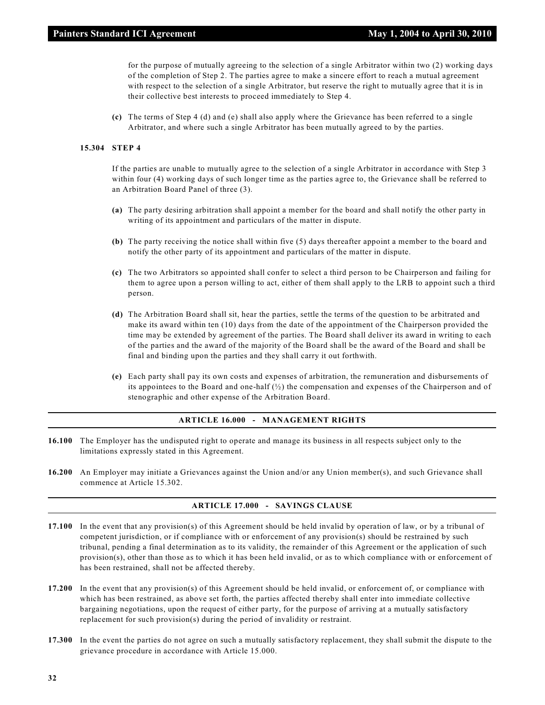for the purpose of mutually agreeing to the selection of a single Arbitrator within two (2) working days of the completion of Step 2. The parties agree to make a sincere effort to reach a mutual agreement with respect to the selection of a single Arbitrator, but reserve the right to mutually agree that it is in their collective best interests to proceed immediately to Step 4.

**(c)** The terms of Step 4 (d) and (e) shall also apply where the Grievance has been referred to a single Arbitrator, and where such a single Arbitrator has been mutually agreed to by the parties.

#### **15.304 STEP 4**

If the parties are unable to mutually agree to the selection of a single Arbitrator in accordance with Step 3 within four (4) working days of such longer time as the parties agree to, the Grievance shall be referred to an Arbitration Board Panel of three (3).

- **(a)** The party desiring arbitration shall appoint a member for the board and shall notify the other party in writing of its appointment and particulars of the matter in dispute.
- **(b)** The party receiving the notice shall within five (5) days thereafter appoint a member to the board and notify the other party of its appointment and particulars of the matter in dispute.
- **(c)** The two Arbitrators so appointed shall confer to select a third person to be Chairperson and failing for them to agree upon a person willing to act, either of them shall apply to the LRB to appoint such a third person.
- **(d)** The Arbitration Board shall sit, hear the parties, settle the terms of the question to be arbitrated and make its award within ten (10) days from the date of the appointment of the Chairperson provided the time may be extended by agreement of the parties. The Board shall deliver its award in writing to each of the parties and the award of the majority of the Board shall be the award of the Board and shall be final and binding upon the parties and they shall carry it out forthwith.
- **(e)** Each party shall pay its own costs and expenses of arbitration, the remuneration and disbursements of its appointees to the Board and one-half  $\binom{1}{2}$  the compensation and expenses of the Chairperson and of stenographic and other expense of the Arbitration Board.

#### **ARTICLE 16.000 - MANAGEMENT RIGHTS**

- **16.100** The Employer has the undisputed right to operate and manage its business in all respects subject only to the limitations expressly stated in this Agreement.
- **16.200** An Employer may initiate a Grievances against the Union and/or any Union member(s), and such Grievance shall commence at Article 15.302.

#### **ARTICLE 17.000 - SAVINGS CLAUSE**

- **17.100** In the event that any provision(s) of this Agreement should be held invalid by operation of law, or by a tribunal of competent jurisdiction, or if compliance with or enforcement of any provision(s) should be restrained by such tribunal, pending a final determination as to its validity, the remainder of this Agreement or the application of such provision(s), other than those as to which it has been held invalid, or as to which compliance with or enforcement of has been restrained, shall not be affected thereby.
- **17.200** In the event that any provision(s) of this Agreement should be held invalid, or enforcement of, or compliance with which has been restrained, as above set forth, the parties affected thereby shall enter into immediate collective bargaining negotiations, upon the request of either party, for the purpose of arriving at a mutually satisfactory replacement for such provision(s) during the period of invalidity or restraint.
- **17.300** In the event the parties do not agree on such a mutually satisfactory replacement, they shall submit the dispute to the grievance procedure in accordance with Article 15.000.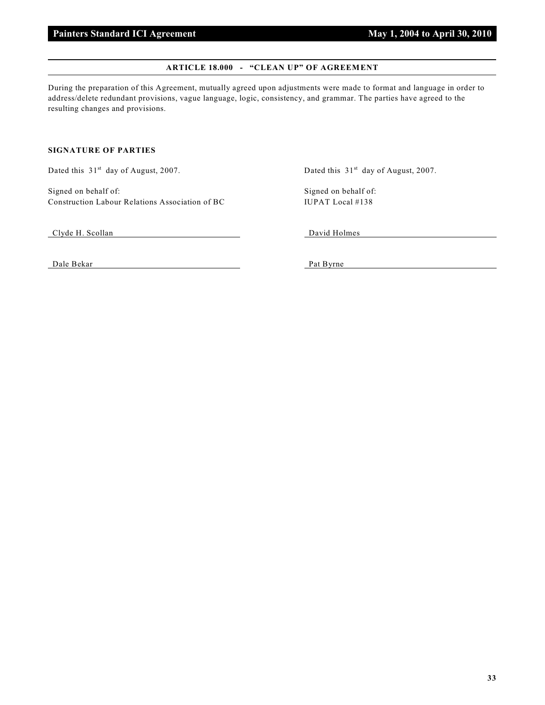# **ARTICLE 18.000 - "CLEAN UP" OF AGREEMENT**

During the preparation of this Agreement, mutually agreed upon adjustments were made to format and language in order to address/delete redundant provisions, vague language, logic, consistency, and grammar. The parties have agreed to the resulting changes and provisions.

# **SIGNATURE OF PARTIES**

Signed on behalf of: Signed on behalf of: Construction Labour Relations Association of BC IUPAT Local #138

Dated this 31<sup>st</sup> day of August, 2007. Dated this 31<sup>st</sup> day of August, 2007.

Clyde H. Scollan David Holmes

Dale Bekar Pat Byrne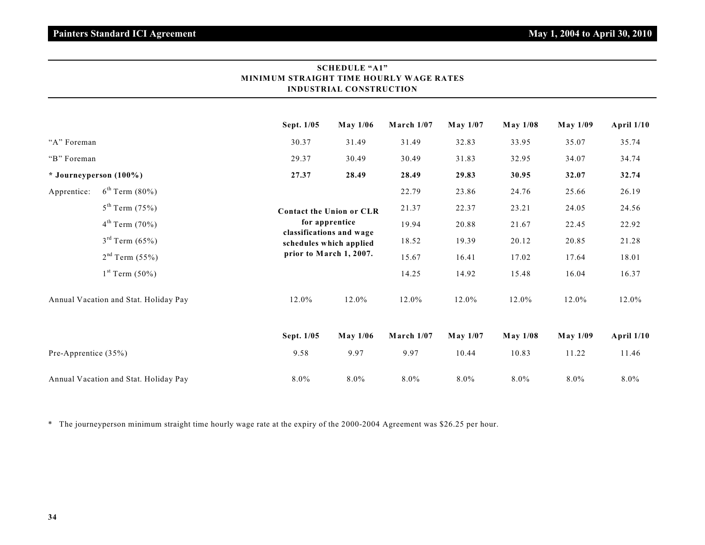|                                       |                        | <u>MINIMUM SIRAIUILI TIME HUUREL WAUE RATES</u> | <b>INDUSTRIAL CONSTRUCTION</b>                                                                                                      |              |                 |                 |                 |              |
|---------------------------------------|------------------------|-------------------------------------------------|-------------------------------------------------------------------------------------------------------------------------------------|--------------|-----------------|-----------------|-----------------|--------------|
|                                       |                        | Sept. 1/05                                      | May 1/06                                                                                                                            | March 1/07   | <b>May 1/07</b> | <b>May 1/08</b> | <b>May 1/09</b> | April 1/10   |
| "A" Foreman                           |                        | 30.37                                           | 31.49                                                                                                                               | 31.49        | 32.83           | 33.95           | 35.07           | 35.74        |
| "B" Foreman                           |                        | 29.37                                           | 30.49                                                                                                                               | 30.49        | 31.83           | 32.95           | 34.07           | 34.74        |
| * Journeyperson (100%)                |                        | 27.37                                           | 28.49                                                                                                                               | 28.49        | 29.83           | 30.95           | 32.07           | 32.74        |
| Apprentice:                           | $6^{th}$ Term (80%)    |                                                 | <b>Contact the Union or CLR</b><br>for apprentice<br>classifications and wage<br>schedules which applied<br>prior to March 1, 2007. | 22.79        | 23.86           | 24.76           | 25.66           | 26.19        |
|                                       | $5^{th}$ Term (75%)    |                                                 |                                                                                                                                     | 21.37        | 22.37           | 23.21           | 24.05           | 24.56        |
|                                       | $4^{th}$ Term (70%)    |                                                 |                                                                                                                                     | 19.94        | 20.88           | 21.67           | 22.45           | 22.92        |
|                                       | $3^{rd}$ Term $(65%)$  |                                                 |                                                                                                                                     | 18.52        | 19.39           | 20.12           | 20.85           | 21.28        |
|                                       | $2nd$ Term (55%)       |                                                 |                                                                                                                                     | 15.67        | 16.41           | 17.02           | 17.64           | 18.01        |
|                                       | $1^{st}$ Term $(50\%)$ |                                                 |                                                                                                                                     | 14.25        | 14.92           | 15.48           | 16.04           | 16.37        |
| Annual Vacation and Stat. Holiday Pay |                        | 12.0%                                           | 12.0%                                                                                                                               | 12.0%        | 12.0%           | 12.0%           | 12.0%           | 12.0%        |
|                                       |                        | Sept. 1/05                                      | May 1/06                                                                                                                            | March $1/07$ | May 1/07        | <b>May 1/08</b> | <b>May 1/09</b> | April $1/10$ |
| Pre-Apprentice (35%)                  |                        | 9.58                                            | 9.97                                                                                                                                | 9.97         | 10.44           | 10.83           | 11.22           | 11.46        |
| Annual Vacation and Stat. Holiday Pay |                        | 8.0%                                            | $8.0\%$                                                                                                                             | $8.0\%$      | $8.0\%$         | $8.0\%$         | 8.0%            | $8.0\%$      |

# **SCHEDULE "A1" MINIMUM STRAIGHT TIME HOURLY WAGE RATES**

\* The journeyperson minimum straight time hourly wage rate at the expiry of the 2000-2004 Agreement was \$26.25 per hour.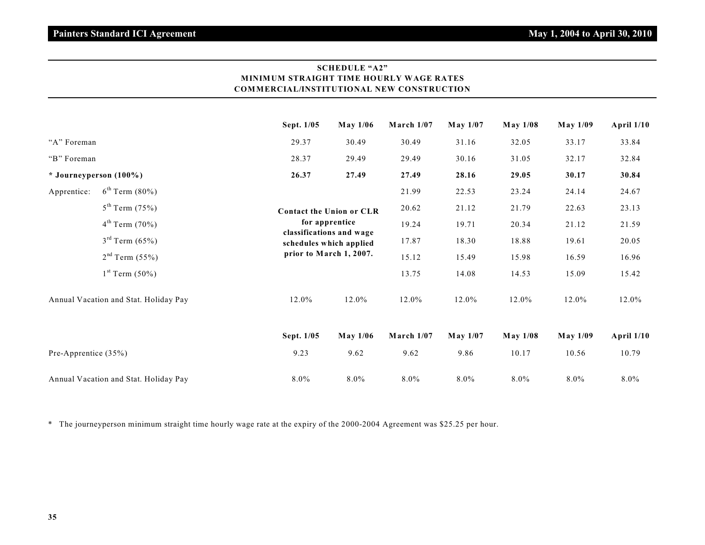# **SCHEDULE "A2" MINIMUM STRAIGHT TIME HOURLY WAGE RATES COMMERCIAL/INSTITUTIONAL NEW CONSTRUCTION**

|                                       |                            | Sept. 1/05                      | May 1/06                                                                       | March $1/07$ | May 1/07        | May 1/08        | <b>May 1/09</b> | <b>April 1/10</b> |
|---------------------------------------|----------------------------|---------------------------------|--------------------------------------------------------------------------------|--------------|-----------------|-----------------|-----------------|-------------------|
| "A" Foreman                           |                            | 29.37                           | 30.49                                                                          | 30.49        | 31.16           | 32.05           | 33.17           | 33.84             |
| "B" Foreman                           |                            | 28.37                           | 29.49                                                                          | 29.49        | 30.16           | 31.05           | 32.17           | 32.84             |
| * Journeyperson (100%)                |                            | 26.37                           | 27.49                                                                          | 27.49        | 28.16           | 29.05           | 30.17           | 30.84             |
| Apprentice:                           | $6^{th}$ Term $(80\%)$     |                                 |                                                                                |              | 22.53           | 23.24           | 24.14           | 24.67             |
|                                       | $5^{th}$ Term (75%)        | <b>Contact the Union or CLR</b> |                                                                                | 20.62        | 21.12           | 21.79           | 22.63           | 23.13             |
|                                       | $4^{th}$ Term (70%)        |                                 | for apprentice                                                                 | 19.24        | 19.71           | 20.34           | 21.12           | 21.59             |
|                                       | $3^{rd}$ Term $(65%)$      |                                 | classifications and wage<br>schedules which applied<br>prior to March 1, 2007. | 17.87        | 18.30           | 18.88           | 19.61           | 20.05             |
|                                       | 2 <sup>nd</sup> Term (55%) |                                 |                                                                                | 15.12        | 15.49           | 15.98           | 16.59           | 16.96             |
|                                       | $1^{st}$ Term $(50\%)$     |                                 |                                                                                | 13.75        | 14.08           | 14.53           | 15.09           | 15.42             |
| Annual Vacation and Stat. Holiday Pay |                            | 12.0%                           | 12.0%                                                                          | 12.0%        | 12.0%           | 12.0%           | 12.0%           | 12.0%             |
|                                       |                            | Sept. 1/05                      | <b>May 1/06</b>                                                                | March $1/07$ | <b>May 1/07</b> | <b>May 1/08</b> | <b>May 1/09</b> | April $1/10$      |
| Pre-Apprentice (35%)                  |                            | 9.23                            | 9.62                                                                           | 9.62         | 9.86            | 10.17           | 10.56           | 10.79             |
| Annual Vacation and Stat. Holiday Pay |                            | $8.0\%$                         | $8.0\%$                                                                        | $8.0\%$      | $8.0\%$         | $8.0\%$         | 8.0%            | $8.0\%$           |

\* The journeyperson minimum straight time hourly wage rate at the expiry of the 2000-2004 Agreement was \$25.25 per hour.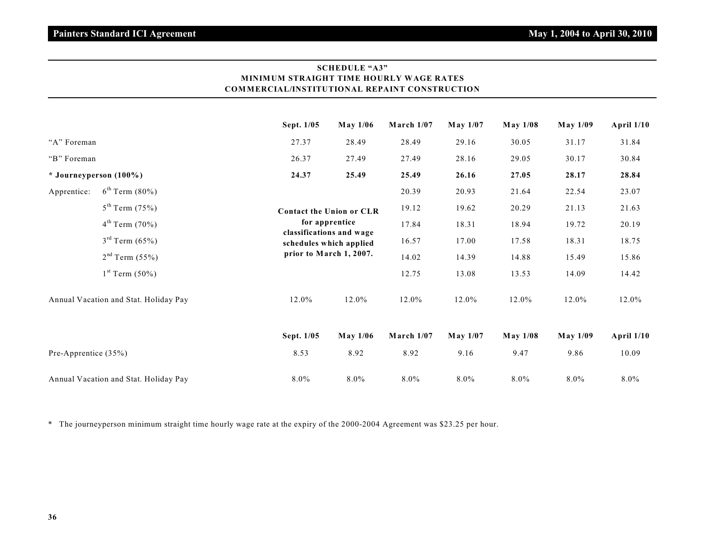# **SCHEDULE "A3" MINIMUM STRAIGHT TIME HOURLY WAGE RATES COMMERCIAL/INSTITUTIONAL REPAINT CONSTRUCTION**

|                                       |                            | Sept. 1/05 | May 1/06                                                                       | March $1/07$ | May 1/07 | <b>May 1/08</b> | <b>May 1/09</b> | <b>April 1/10</b> |
|---------------------------------------|----------------------------|------------|--------------------------------------------------------------------------------|--------------|----------|-----------------|-----------------|-------------------|
| "A" Foreman                           |                            | 27.37      | 28.49                                                                          | 28.49        | 29.16    | 30.05           | 31.17           | 31.84             |
| "B" Foreman                           |                            | 26.37      | 27.49                                                                          | 27.49        | 28.16    | 29.05           | 30.17           | 30.84             |
| $*$ Journeyperson (100%)              |                            | 24.37      | 25.49                                                                          | 25.49        | 26.16    | 27.05           | 28.17           | 28.84             |
| Apprentice:                           | $6^{th}$ Term $(80\%)$     |            |                                                                                | 20.39        | 20.93    | 21.64           | 22.54           | 23.07             |
|                                       | $5^{th}$ Term (75%)        |            | <b>Contact the Union or CLR</b>                                                | 19.12        | 19.62    | 20.29           | 21.13           | 21.63             |
|                                       | $4^{th}$ Term (70%)        |            | for apprentice                                                                 | 17.84        | 18.31    | 18.94           | 19.72           | 20.19             |
|                                       | $3^{rd}$ Term $(65%)$      |            | classifications and wage<br>schedules which applied<br>prior to March 1, 2007. | 16.57        | 17.00    | 17.58           | 18.31           | 18.75             |
|                                       | 2 <sup>nd</sup> Term (55%) |            |                                                                                | 14.02        | 14.39    | 14.88           | 15.49           | 15.86             |
|                                       | $1^{st}$ Term $(50\%)$     |            |                                                                                | 12.75        | 13.08    | 13.53           | 14.09           | 14.42             |
| Annual Vacation and Stat. Holiday Pay |                            | 12.0%      | 12.0%                                                                          | 12.0%        | 12.0%    | 12.0%           | 12.0%           | 12.0%             |
|                                       |                            | Sept. 1/05 | May 1/06                                                                       | March $1/07$ | May 1/07 | <b>May 1/08</b> | <b>May 1/09</b> | <b>April 1/10</b> |
| Pre-Apprentice $(35%)$                |                            | 8.53       | 8.92                                                                           | 8.92         | 9.16     | 9.47            | 9.86            | 10.09             |
| Annual Vacation and Stat. Holiday Pay |                            | $8.0\%$    | $8.0\%$                                                                        | $8.0\%$      | $8.0\%$  | $8.0\%$         | $8.0\%$         | $8.0\%$           |

\* The journeyperson minimum straight time hourly wage rate at the expiry of the 2000-2004 Agreement was \$23.25 per hour.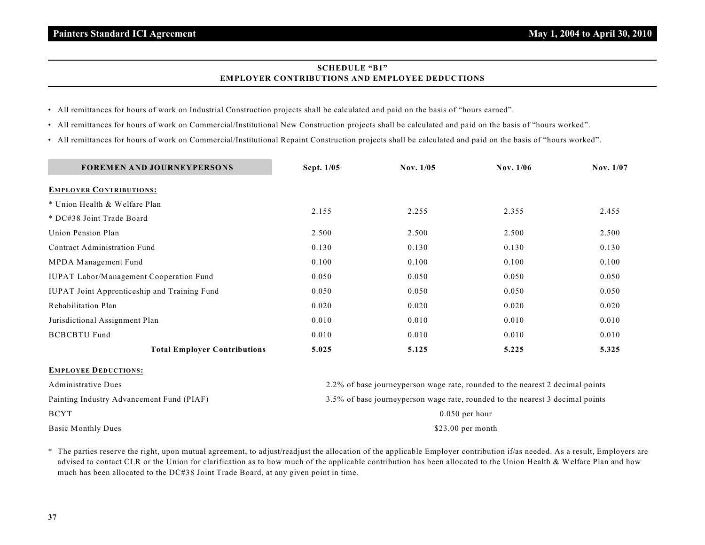# **SCHEDULE "B1" EMPLOYER CONTRIBUTIONS AND EMPLOYEE DEDUCTIONS**

- All remittances for hours of work on Industrial Construction projects shall be calculated and paid on the basis of "hours earned".
- All remittances for hours of work on Commercial/Institutional New Construction projects shall be calculated and paid on the basis of "hours worked".
- All remittances for hours of work on Commercial/Institutional Repaint Construction projects shall be calculated and paid on the basis of "hours worked".

| <b>FOREMEN AND JOURNEYPERSONS</b>                   | Sept. 1/05                                                                    | Nov. 1/05                                                                     | Nov. 1/06 | Nov. 1/07 |  |  |
|-----------------------------------------------------|-------------------------------------------------------------------------------|-------------------------------------------------------------------------------|-----------|-----------|--|--|
| <b>EMPLOYER CONTRIBUTIONS:</b>                      |                                                                               |                                                                               |           |           |  |  |
| * Union Health & Welfare Plan                       | 2.155                                                                         |                                                                               | 2.355     | 2.455     |  |  |
| * DC#38 Joint Trade Board                           |                                                                               | 2.255                                                                         |           |           |  |  |
| Union Pension Plan                                  | 2.500                                                                         | 2.500                                                                         | 2.500     | 2.500     |  |  |
| Contract Administration Fund                        | 0.130                                                                         | 0.130                                                                         | 0.130     | 0.130     |  |  |
| MPDA Management Fund                                | 0.100                                                                         | 0.100                                                                         | 0.100     | 0.100     |  |  |
| IUPAT Labor/Management Cooperation Fund             | 0.050                                                                         | 0.050                                                                         | 0.050     | 0.050     |  |  |
| <b>IUPAT Joint Apprenticeship and Training Fund</b> | 0.050                                                                         | 0.050                                                                         | 0.050     | 0.050     |  |  |
| Rehabilitation Plan                                 | 0.020                                                                         | 0.020                                                                         | 0.020     | 0.020     |  |  |
| Jurisdictional Assignment Plan                      | 0.010                                                                         | 0.010                                                                         | 0.010     | 0.010     |  |  |
| <b>BCBCBTU Fund</b>                                 | 0.010                                                                         | 0.010                                                                         | 0.010     | 0.010     |  |  |
| <b>Total Employer Contributions</b>                 | 5.025                                                                         | 5.125                                                                         | 5.225     | 5.325     |  |  |
| <b>EMPLOYEE DEDUCTIONS:</b>                         |                                                                               |                                                                               |           |           |  |  |
| <b>Administrative Dues</b>                          |                                                                               | 2.2% of base journeyperson wage rate, rounded to the nearest 2 decimal points |           |           |  |  |
| Painting Industry Advancement Fund (PIAF)           | 3.5% of base journeyperson wage rate, rounded to the nearest 3 decimal points |                                                                               |           |           |  |  |
| <b>BCYT</b>                                         | $0.050$ per hour                                                              |                                                                               |           |           |  |  |
| <b>Basic Monthly Dues</b>                           | $$23.00$ per month                                                            |                                                                               |           |           |  |  |

\* The parties reserve the right, upon mutual agreement, to adjust/readjust the allocation of the applicable Employer contribution if/as needed. As a result, Employers are advised to contact CLR or the Union for clarification as to how much of the applicable contribution has been allocated to the Union Health & Welfare Plan and how much has been allocated to the DC#38 Joint Trade Board, at any given point in time.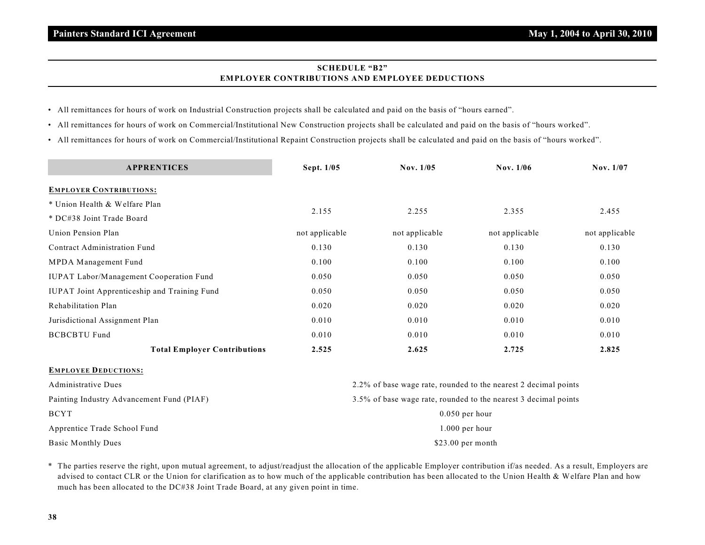# **SCHEDULE "B2" EMPLOYER CONTRIBUTIONS AND EMPLOYEE DEDUCTIONS**

- All remittances for hours of work on Industrial Construction projects shall be calculated and paid on the basis of "hours earned".
- All remittances for hours of work on Commercial/Institutional New Construction projects shall be calculated and paid on the basis of "hours worked".
- All remittances for hours of work on Commercial/Institutional Repaint Construction projects shall be calculated and paid on the basis of "hours worked".

| <b>APPRENTICES</b>                           | Sept. 1/05                                                      | Nov. 1/05      | Nov. 1/06                                                       | Nov. 1/07      |  |  |  |
|----------------------------------------------|-----------------------------------------------------------------|----------------|-----------------------------------------------------------------|----------------|--|--|--|
| <b>EMPLOYER CONTRIBUTIONS:</b>               |                                                                 |                |                                                                 |                |  |  |  |
| * Union Health & Welfare Plan                |                                                                 |                |                                                                 |                |  |  |  |
| * DC#38 Joint Trade Board                    | 2.155                                                           | 2.255          | 2.355                                                           | 2.455          |  |  |  |
| Union Pension Plan                           | not applicable                                                  | not applicable | not applicable                                                  | not applicable |  |  |  |
| Contract Administration Fund                 | 0.130                                                           | 0.130          | 0.130                                                           | 0.130          |  |  |  |
| MPDA Management Fund                         | 0.100                                                           | 0.100          | 0.100                                                           | 0.100          |  |  |  |
| IUPAT Labor/Management Cooperation Fund      | 0.050                                                           | 0.050          | 0.050                                                           | 0.050          |  |  |  |
| IUPAT Joint Apprenticeship and Training Fund | 0.050                                                           | 0.050          | 0.050                                                           | 0.050          |  |  |  |
| Rehabilitation Plan                          | 0.020                                                           | 0.020          | 0.020                                                           | 0.020          |  |  |  |
| Jurisdictional Assignment Plan               | 0.010                                                           | 0.010          | 0.010                                                           | 0.010          |  |  |  |
| <b>BCBCBTU Fund</b>                          | 0.010                                                           | 0.010          | 0.010                                                           | 0.010          |  |  |  |
| <b>Total Employer Contributions</b>          | 2.525                                                           | 2.625          | 2.725                                                           | 2.825          |  |  |  |
| <b>EMPLOYEE DEDUCTIONS:</b>                  |                                                                 |                |                                                                 |                |  |  |  |
| <b>Administrative Dues</b>                   |                                                                 |                | 2.2% of base wage rate, rounded to the nearest 2 decimal points |                |  |  |  |
| Painting Industry Advancement Fund (PIAF)    | 3.5% of base wage rate, rounded to the nearest 3 decimal points |                |                                                                 |                |  |  |  |
| <b>BCYT</b>                                  | $0.050$ per hour                                                |                |                                                                 |                |  |  |  |
| Apprentice Trade School Fund                 | 1.000 per hour                                                  |                |                                                                 |                |  |  |  |

Basic Monthly Dues \$23.00 per month

\* The parties reserve the right, upon mutual agreement, to adjust/readjust the allocation of the applicable Employer contribution if/as needed. As a result, Employers are advised to contact CLR or the Union for clarification as to how much of the applicable contribution has been allocated to the Union Health & Welfare Plan and how much has been allocated to the DC#38 Joint Trade Board, at any given point in time.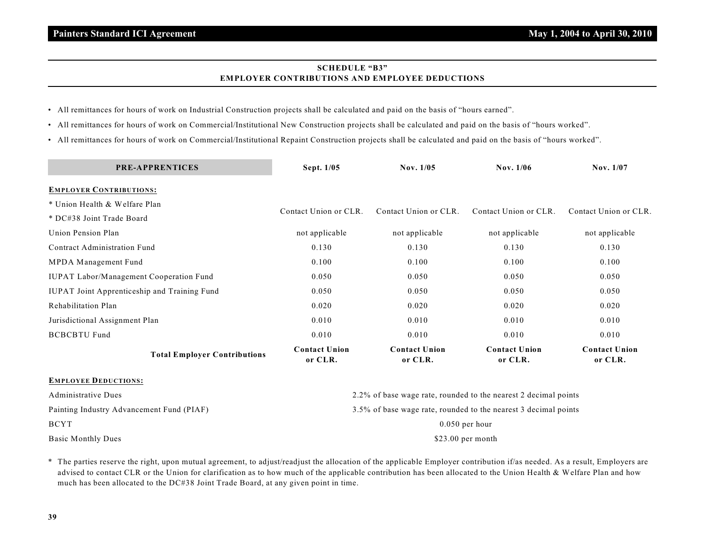# **SCHEDULE "B3" EMPLOYER CONTRIBUTIONS AND EMPLOYEE DEDUCTIONS**

- All remittances for hours of work on Industrial Construction projects shall be calculated and paid on the basis of "hours earned".
- All remittances for hours of work on Commercial/Institutional New Construction projects shall be calculated and paid on the basis of "hours worked".
- All remittances for hours of work on Commercial/Institutional Repaint Construction projects shall be calculated and paid on the basis of "hours worked".

| <b>PRE-APPRENTICES</b>                         | Sept. 1/05                                                      | Nov. 1/05                       |                                 | Nov. 1/07                       |  |  |  |
|------------------------------------------------|-----------------------------------------------------------------|---------------------------------|---------------------------------|---------------------------------|--|--|--|
| <b>EMPLOYER CONTRIBUTIONS:</b>                 |                                                                 |                                 |                                 |                                 |  |  |  |
| * Union Health & Welfare Plan                  |                                                                 |                                 |                                 | Contact Union or CLR.           |  |  |  |
| * DC#38 Joint Trade Board                      | Contact Union or CLR.                                           | Contact Union or CLR.           | Contact Union or CLR.           |                                 |  |  |  |
| Union Pension Plan                             | not applicable                                                  | not applicable                  | not applicable                  | not applicable                  |  |  |  |
| Contract Administration Fund                   | 0.130                                                           | 0.130                           | 0.130                           | 0.130                           |  |  |  |
| MPDA Management Fund                           | 0.100                                                           | 0.100                           | 0.100                           | 0.100                           |  |  |  |
| <b>IUPAT Labor/Management Cooperation Fund</b> | 0.050                                                           | 0.050                           | 0.050                           | 0.050                           |  |  |  |
| IUPAT Joint Apprenticeship and Training Fund   | 0.050                                                           | 0.050                           | 0.050                           | 0.050                           |  |  |  |
| Rehabilitation Plan                            | 0.020                                                           | 0.020                           | 0.020                           | 0.020                           |  |  |  |
| Jurisdictional Assignment Plan                 | 0.010                                                           | 0.010                           | 0.010                           | 0.010                           |  |  |  |
| <b>BCBCBTU Fund</b>                            | 0.010                                                           | 0.010                           | 0.010                           | 0.010                           |  |  |  |
| <b>Total Employer Contributions</b>            | <b>Contact Union</b><br>or CLR.                                 | <b>Contact Union</b><br>or CLR. | <b>Contact Union</b><br>or CLR. | <b>Contact Union</b><br>or CLR. |  |  |  |
| <b>EMPLOYEE DEDUCTIONS:</b>                    |                                                                 |                                 |                                 |                                 |  |  |  |
| <b>Administrative Dues</b>                     | 2.2% of base wage rate, rounded to the nearest 2 decimal points |                                 |                                 |                                 |  |  |  |
| Painting Industry Advancement Fund (PIAF)      | 3.5% of base wage rate, rounded to the nearest 3 decimal points |                                 |                                 |                                 |  |  |  |
| <b>BCYT</b>                                    | $0.050$ per hour                                                |                                 |                                 |                                 |  |  |  |
| <b>Basic Monthly Dues</b>                      | $$23.00$ per month                                              |                                 |                                 |                                 |  |  |  |

\* The parties reserve the right, upon mutual agreement, to adjust/readjust the allocation of the applicable Employer contribution if/as needed. As a result, Employers are advised to contact CLR or the Union for clarification as to how much of the applicable contribution has been allocated to the Union Health & Welfare Plan and how much has been allocated to the DC#38 Joint Trade Board, at any given point in time.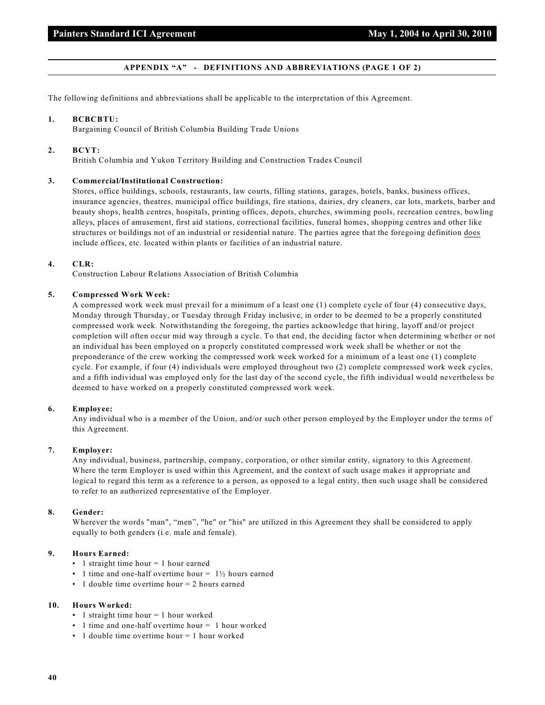# **APPENDIX "A" - DEFINITIONS AND ABBREVIATIONS (PAGE 1 OF 2)**

The following definitions and abbreviations shall be applicable to the interpretation of this Agreement.

#### **1. BCBCBTU:**

Bargaining Council of British Columbia Building Trade Unions

#### **2. BCYT:**

British Columbia and Yukon Territory Building and Construction Trades Council

# **3. Commercial/Institutional Construction:**

Stores, office buildings, schools, restaurants, law courts, filling stations, garages, hotels, banks, business offices, insurance agencies, theatres, municipal office buildings, fire stations, dairies, dry cleaners, car lots, markets, barber and beauty shops, health centres, hospitals, printing offices, depots, churches, swimming pools, recreation centres, bowling alleys, places of amusement, first aid stations, correctional facilities, funeral homes, shopping centres and other like structures or buildings not of an industrial or residential nature. The parties agree that the foregoing definition does include offices, etc. located within plants or facilities of an industrial nature.

# **4. CLR:**

Construction Labour Relations Association of British Columbia

# **5. Compressed Work Week:**

A compressed work week must prevail for a minimum of a least one (1) complete cycle of four (4) consecutive days, Monday through Thursday, or Tuesday through Friday inclusive, in order to be deemed to be a properly constituted compressed work week. Notwithstanding the foregoing, the parties acknowledge that hiring, layoff and/or project completion will often occur mid way through a cycle. To that end, the deciding factor when determining whether or not an individual has been employed on a properly constituted compressed work week shall be whether or not the preponderance of the crew working the compressed work week worked for a minimum of a least one (1) complete cycle. For example, if four (4) individuals were employed throughout two (2) complete compressed work week cycles, and a fifth individual was employed only for the last day of the second cycle, the fifth individual would nevertheless be deemed to have worked on a properly constituted compressed work week.

#### **6. Employee:**

Any individual who is a member of the Union, and/or such other person employed by the Employer under the terms of this Agreement.

#### **7. Employer:**

Any individual, business, partnership, company, corporation, or other similar entity, signatory to this Agreement. Where the term Employer is used within this Agreement, and the context of such usage makes it appropriate and logical to regard this term as a reference to a person, as opposed to a legal entity, then such usage shall be considered to refer to an authorized representative of the Employer.

#### **8. Gender:**

Wherever the words "man", "men", "he" or "his" are utilized in this Agreement they shall be considered to apply equally to both genders (i.e. male and female).

# **9. Hours Earned:**

- 1 straight time hour = 1 hour earned
- 1 time and one-half overtime hour =  $1\frac{1}{2}$  hours earned
- 1 double time overtime hour = 2 hours earned

# **10. Hours Worked:**

- $\cdot$  1 straight time hour = 1 hour worked
- 1 time and one-half overtime hour = 1 hour worked
- 1 double time overtime hour = 1 hour worked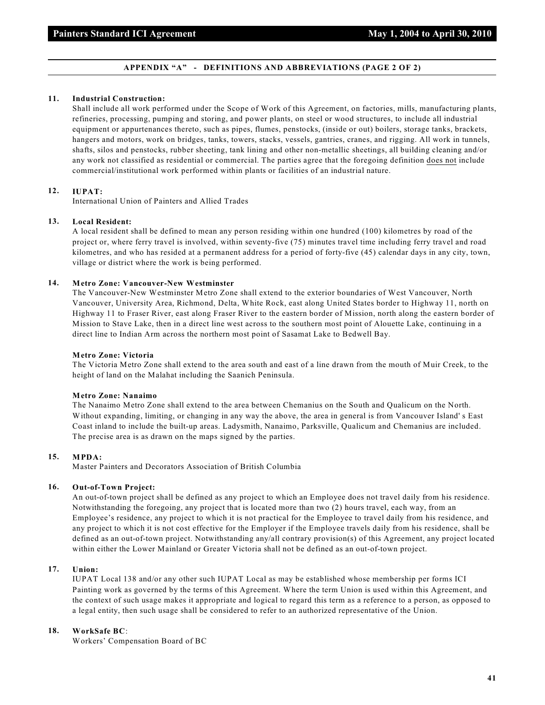# **APPENDIX "A" - DEFINITIONS AND ABBREVIATIONS (PAGE 2 OF 2)**

#### **11. Industrial Construction:**

Shall include all work performed under the Scope of Work of this Agreement, on factories, mills, manufacturing plants, refineries, processing, pumping and storing, and power plants, on steel or wood structures, to include all industrial equipment or appurtenances thereto, such as pipes, flumes, penstocks, (inside or out) boilers, storage tanks, brackets, hangers and motors, work on bridges, tanks, towers, stacks, vessels, gantries, cranes, and rigging. All work in tunnels, shafts, silos and penstocks, rubber sheeting, tank lining and other non-metallic sheetings, all building cleaning and/or any work not classified as residential or commercial. The parties agree that the foregoing definition does not include commercial/institutional work performed within plants or facilities of an industrial nature.

# **12. IUPAT:**

International Union of Painters and Allied Trades

# **13. Local Resident:**

A local resident shall be defined to mean any person residing within one hundred (100) kilometres by road of the project or, where ferry travel is involved, within seventy-five (75) minutes travel time including ferry travel and road kilometres, and who has resided at a permanent address for a period of forty-five (45) calendar days in any city, town, village or district where the work is being performed.

# **14. Metro Zone: Vancouver-New Westminster**

The Vancouver-New Westminster Metro Zone shall extend to the exterior boundaries of West Vancouver, North Vancouver, University Area, Richmond, Delta, White Rock, east along United States border to Highway 11, north on Highway 11 to Fraser River, east along Fraser River to the eastern border of Mission, north along the eastern border of Mission to Stave Lake, then in a direct line west across to the southern most point of Alouette Lake, continuing in a direct line to Indian Arm across the northern most point of Sasamat Lake to Bedwell Bay.

#### **Metro Zone: Victoria**

The Victoria Metro Zone shall extend to the area south and east of a line drawn from the mouth of Muir Creek, to the height of land on the Malahat including the Saanich Peninsula.

#### **Metro Zone: Nanaimo**

The Nanaimo Metro Zone shall extend to the area between Chemanius on the South and Qualicum on the North. Without expanding, limiting, or changing in any way the above, the area in general is from Vancouver Island' s East Coast inland to include the built-up areas. Ladysmith, Nanaimo, Parksville, Qualicum and Chemanius are included. The precise area is as drawn on the maps signed by the parties.

# **15. MPDA:**

Master Painters and Decorators Association of British Columbia

# **16. Out-of-Town Project:**

An out-of-town project shall be defined as any project to which an Employee does not travel daily from his residence. Notwithstanding the foregoing, any project that is located more than two (2) hours travel, each way, from an Employee's residence, any project to which it is not practical for the Employee to travel daily from his residence, and any project to which it is not cost effective for the Employer if the Employee travels daily from his residence, shall be defined as an out-of-town project. Notwithstanding any/all contrary provision(s) of this Agreement, any project located within either the Lower Mainland or Greater Victoria shall not be defined as an out-of-town project.

# **17. Union:**

IUPAT Local 138 and/or any other such IUPAT Local as may be established whose membership per forms ICI Painting work as governed by the terms of this Agreement. Where the term Union is used within this Agreement, and the context of such usage makes it appropriate and logical to regard this term as a reference to a person, as opposed to a legal entity, then such usage shall be considered to refer to an authorized representative of the Union.

# **18. WorkSafe BC**:

Workers' Compensation Board of BC